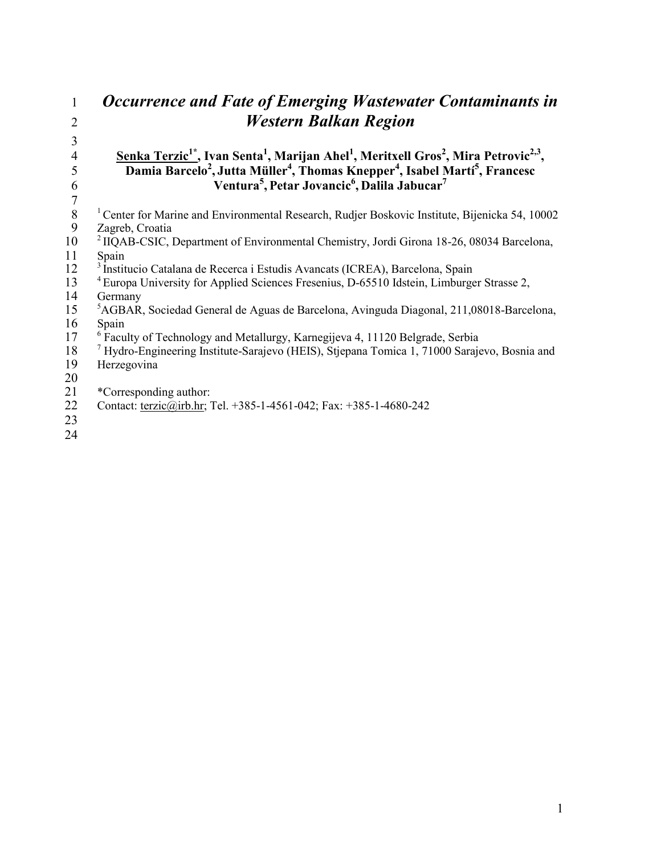| 1  | Occurrence and Fate of Emerging Wastewater Contaminants in                                                                                      |
|----|-------------------------------------------------------------------------------------------------------------------------------------------------|
| 2  | <b>Western Balkan Region</b>                                                                                                                    |
| 3  |                                                                                                                                                 |
| 4  | Senka Terzic <sup>1*</sup> , Ivan Senta <sup>1</sup> , Marijan Ahel <sup>1</sup> , Meritxell Gros <sup>2</sup> , Mira Petrovic <sup>2,3</sup> , |
| 5  | Damia Barcelo <sup>2</sup> , Jutta Müller <sup>4</sup> , Thomas Knepper <sup>4</sup> , Isabel Martí <sup>5</sup> , Francesc                     |
| 6  | Ventura <sup>5</sup> , Petar Jovancic <sup>6</sup> , Dalila Jabucar <sup>7</sup>                                                                |
|    |                                                                                                                                                 |
| 8  | Center for Marine and Environmental Research, Rudjer Boskovic Institute, Bijenicka 54, 10002                                                    |
| 9  | Zagreb, Croatia                                                                                                                                 |
| 10 | <sup>2</sup> IIQAB-CSIC, Department of Environmental Chemistry, Jordi Girona 18-26, 08034 Barcelona,                                            |
| 11 | Spain                                                                                                                                           |
| 12 | Institucio Catalana de Recerca i Estudis Avancats (ICREA), Barcelona, Spain                                                                     |
| 13 | <sup>4</sup> Europa University for Applied Sciences Fresenius, D-65510 Idstein, Limburger Strasse 2,                                            |
| 14 | Germany                                                                                                                                         |
| 15 | <sup>5</sup> AGBAR, Sociedad General de Aguas de Barcelona, Avinguda Diagonal, 211,08018-Barcelona,                                             |
| 16 | Spain                                                                                                                                           |
| 17 | <sup>6</sup> Faculty of Technology and Metallurgy, Karnegijeva 4, 11120 Belgrade, Serbia                                                        |
| 18 | <sup>7</sup> Hydro-Engineering Institute-Sarajevo (HEIS), Stjepana Tomica 1, 71000 Sarajevo, Bosnia and                                         |
| 19 | Herzegovina                                                                                                                                     |
| 20 |                                                                                                                                                 |
| 21 | *Corresponding author:                                                                                                                          |
| 22 | Contact: terzic@irb.hr; Tel. +385-1-4561-042; Fax: +385-1-4680-242                                                                              |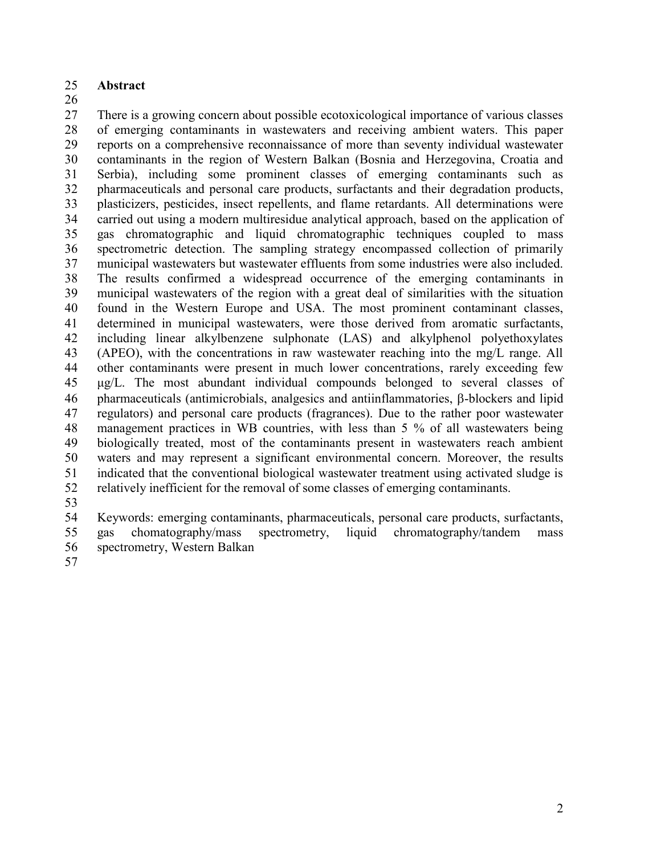#### **Abstract**

 There is a growing concern about possible ecotoxicological importance of various classes of emerging contaminants in wastewaters and receiving ambient waters. This paper reports on a comprehensive reconnaissance of more than seventy individual wastewater contaminants in the region of Western Balkan (Bosnia and Herzegovina, Croatia and Serbia), including some prominent classes of emerging contaminants such as pharmaceuticals and personal care products, surfactants and their degradation products, plasticizers, pesticides, insect repellents, and flame retardants. All determinations were carried out using a modern multiresidue analytical approach, based on the application of gas chromatographic and liquid chromatographic techniques coupled to mass spectrometric detection. The sampling strategy encompassed collection of primarily municipal wastewaters but wastewater effluents from some industries were also included. The results confirmed a widespread occurrence of the emerging contaminants in municipal wastewaters of the region with a great deal of similarities with the situation found in the Western Europe and USA. The most prominent contaminant classes, determined in municipal wastewaters, were those derived from aromatic surfactants, including linear alkylbenzene sulphonate (LAS) and alkylphenol polyethoxylates (APEO), with the concentrations in raw wastewater reaching into the mg/L range. All other contaminants were present in much lower concentrations, rarely exceeding few μg/L. The most abundant individual compounds belonged to several classes of 46 pharmaceuticals (antimicrobials, analgesics and antiinflammatories, B-blockers and lipid regulators) and personal care products (fragrances). Due to the rather poor wastewater management practices in WB countries, with less than 5 % of all wastewaters being biologically treated, most of the contaminants present in wastewaters reach ambient waters and may represent a significant environmental concern. Moreover, the results indicated that the conventional biological wastewater treatment using activated sludge is relatively inefficient for the removal of some classes of emerging contaminants.

 Keywords: emerging contaminants, pharmaceuticals, personal care products, surfactants, gas chomatography/mass spectrometry, liquid chromatography/tandem mass spectrometry, Western Balkan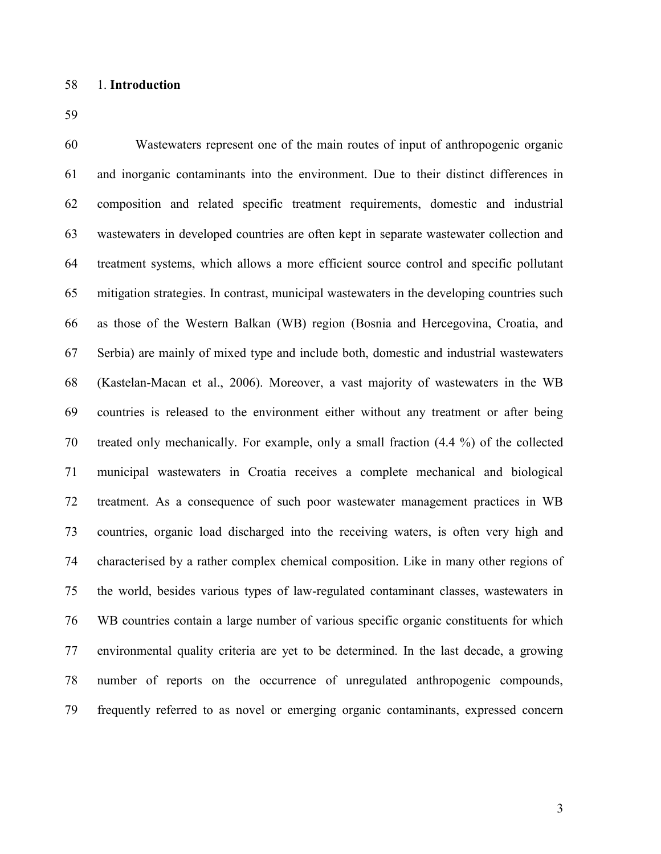Wastewaters represent one of the main routes of input of anthropogenic organic and inorganic contaminants into the environment. Due to their distinct differences in composition and related specific treatment requirements, domestic and industrial wastewaters in developed countries are often kept in separate wastewater collection and treatment systems, which allows a more efficient source control and specific pollutant mitigation strategies. In contrast, municipal wastewaters in the developing countries such as those of the Western Balkan (WB) region (Bosnia and Hercegovina, Croatia, and Serbia) are mainly of mixed type and include both, domestic and industrial wastewaters (Kastelan-Macan et al., 2006). Moreover, a vast majority of wastewaters in the WB countries is released to the environment either without any treatment or after being treated only mechanically. For example, only a small fraction (4.4 %) of the collected municipal wastewaters in Croatia receives a complete mechanical and biological treatment. As a consequence of such poor wastewater management practices in WB countries, organic load discharged into the receiving waters, is often very high and characterised by a rather complex chemical composition. Like in many other regions of the world, besides various types of law-regulated contaminant classes, wastewaters in WB countries contain a large number of various specific organic constituents for which environmental quality criteria are yet to be determined. In the last decade, a growing number of reports on the occurrence of unregulated anthropogenic compounds, frequently referred to as novel or emerging organic contaminants, expressed concern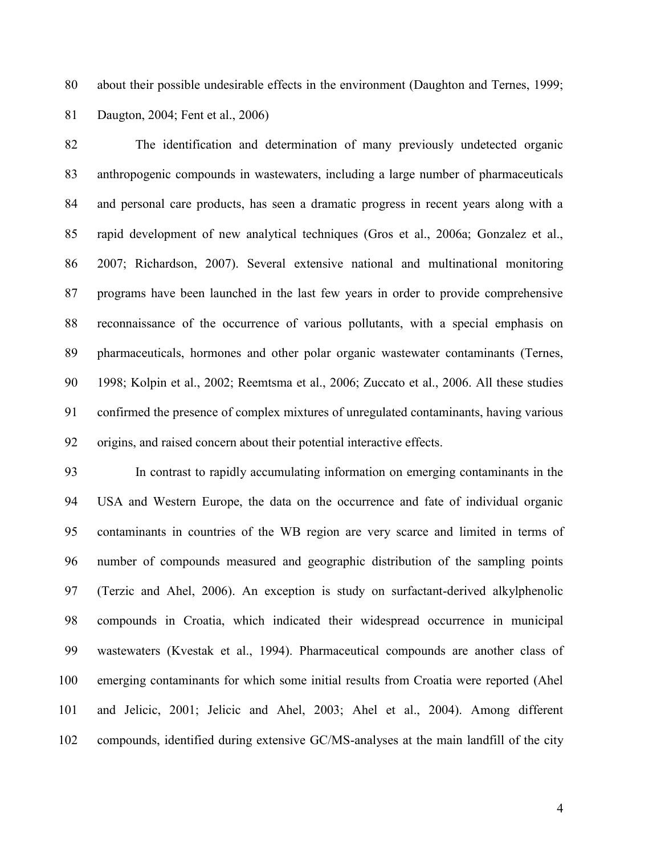about their possible undesirable effects in the environment (Daughton and Ternes, 1999; Daugton, 2004; Fent et al., 2006)

 The identification and determination of many previously undetected organic anthropogenic compounds in wastewaters, including a large number of pharmaceuticals and personal care products, has seen a dramatic progress in recent years along with a rapid development of new analytical techniques (Gros et al., 2006a; Gonzalez et al., 2007; Richardson, 2007). Several extensive national and multinational monitoring programs have been launched in the last few years in order to provide comprehensive reconnaissance of the occurrence of various pollutants, with a special emphasis on pharmaceuticals, hormones and other polar organic wastewater contaminants (Ternes, 1998; Kolpin et al., 2002; Reemtsma et al., 2006; Zuccato et al., 2006. All these studies confirmed the presence of complex mixtures of unregulated contaminants, having various origins, and raised concern about their potential interactive effects.

 In contrast to rapidly accumulating information on emerging contaminants in the USA and Western Europe, the data on the occurrence and fate of individual organic contaminants in countries of the WB region are very scarce and limited in terms of number of compounds measured and geographic distribution of the sampling points (Terzic and Ahel, 2006). An exception is study on surfactant-derived alkylphenolic compounds in Croatia, which indicated their widespread occurrence in municipal wastewaters (Kvestak et al., 1994). Pharmaceutical compounds are another class of emerging contaminants for which some initial results from Croatia were reported (Ahel and Jelicic, 2001; Jelicic and Ahel, 2003; Ahel et al., 2004). Among different compounds, identified during extensive GC/MS-analyses at the main landfill of the city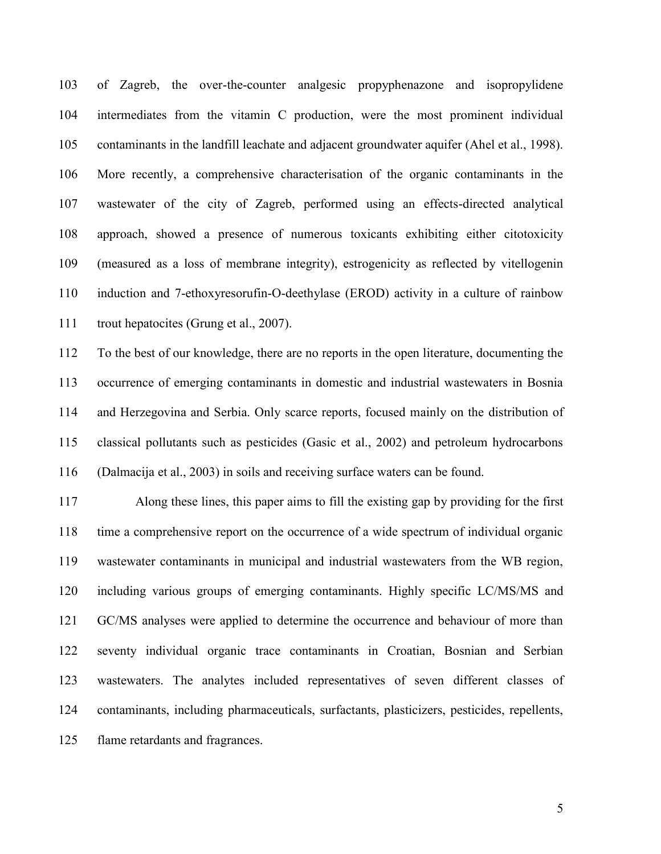of Zagreb, the over-the-counter analgesic propyphenazone and isopropylidene intermediates from the vitamin C production, were the most prominent individual contaminants in the landfill leachate and adjacent groundwater aquifer (Ahel et al., 1998). More recently, a comprehensive characterisation of the organic contaminants in the wastewater of the city of Zagreb, performed using an effects-directed analytical approach, showed a presence of numerous toxicants exhibiting either citotoxicity (measured as a loss of membrane integrity), estrogenicity as reflected by vitellogenin induction and 7-ethoxyresorufin-O-deethylase (EROD) activity in a culture of rainbow trout hepatocites (Grung et al., 2007).

 To the best of our knowledge, there are no reports in the open literature, documenting the occurrence of emerging contaminants in domestic and industrial wastewaters in Bosnia and Herzegovina and Serbia. Only scarce reports, focused mainly on the distribution of classical pollutants such as pesticides (Gasic et al., 2002) and petroleum hydrocarbons (Dalmacija et al., 2003) in soils and receiving surface waters can be found.

 Along these lines, this paper aims to fill the existing gap by providing for the first time a comprehensive report on the occurrence of a wide spectrum of individual organic wastewater contaminants in municipal and industrial wastewaters from the WB region, including various groups of emerging contaminants. Highly specific LC/MS/MS and GC/MS analyses were applied to determine the occurrence and behaviour of more than seventy individual organic trace contaminants in Croatian, Bosnian and Serbian wastewaters. The analytes included representatives of seven different classes of contaminants, including pharmaceuticals, surfactants, plasticizers, pesticides, repellents, flame retardants and fragrances.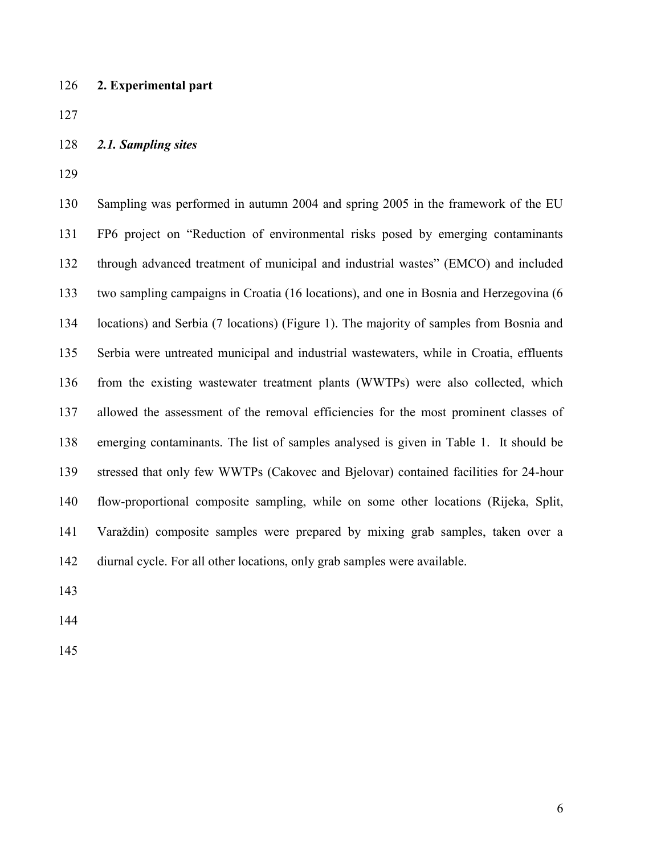**2. Experimental part**

- *2.1. Sampling sites*
- 

 Sampling was performed in autumn 2004 and spring 2005 in the framework of the EU FP6 project on "Reduction of environmental risks posed by emerging contaminants through advanced treatment of municipal and industrial wastes" (EMCO) and included two sampling campaigns in Croatia (16 locations), and one in Bosnia and Herzegovina (6 locations) and Serbia (7 locations) (Figure 1). The majority of samples from Bosnia and Serbia were untreated municipal and industrial wastewaters, while in Croatia, effluents from the existing wastewater treatment plants (WWTPs) were also collected, which allowed the assessment of the removal efficiencies for the most prominent classes of emerging contaminants. The list of samples analysed is given in Table 1. It should be stressed that only few WWTPs (Cakovec and Bjelovar) contained facilities for 24-hour flow-proportional composite sampling, while on some other locations (Rijeka, Split, Varaždin) composite samples were prepared by mixing grab samples, taken over a diurnal cycle. For all other locations, only grab samples were available.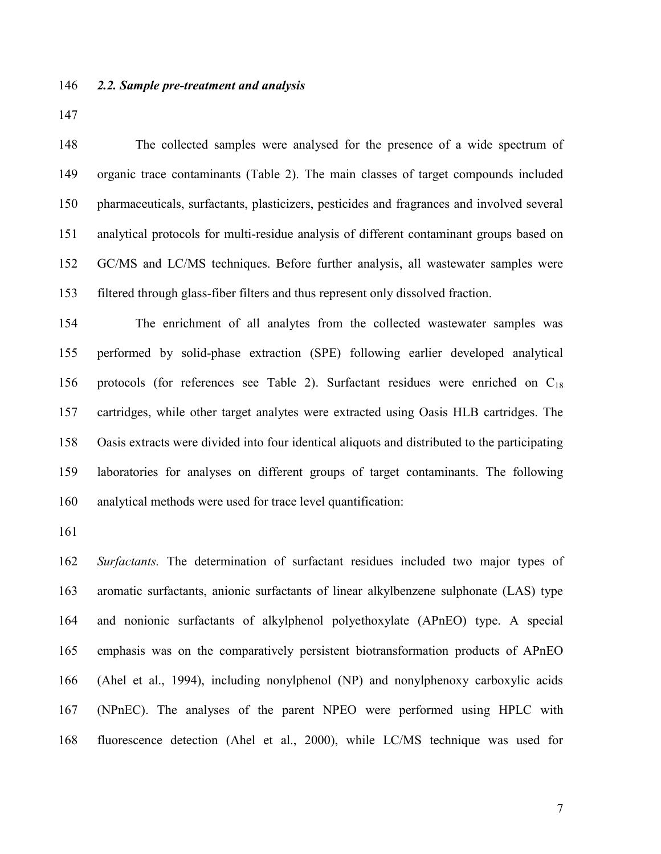#### *2.2. Sample pre-treatment and analysis*

 The collected samples were analysed for the presence of a wide spectrum of organic trace contaminants (Table 2). The main classes of target compounds included pharmaceuticals, surfactants, plasticizers, pesticides and fragrances and involved several analytical protocols for multi-residue analysis of different contaminant groups based on GC/MS and LC/MS techniques. Before further analysis, all wastewater samples were filtered through glass-fiber filters and thus represent only dissolved fraction.

 The enrichment of all analytes from the collected wastewater samples was performed by solid-phase extraction (SPE) following earlier developed analytical protocols (for references see Table 2). Surfactant residues were enriched on C<sup>18</sup> cartridges, while other target analytes were extracted using Oasis HLB cartridges. The Oasis extracts were divided into four identical aliquots and distributed to the participating laboratories for analyses on different groups of target contaminants. The following analytical methods were used for trace level quantification:

 *Surfactants.* The determination of surfactant residues included two major types of aromatic surfactants, anionic surfactants of linear alkylbenzene sulphonate (LAS) type and nonionic surfactants of alkylphenol polyethoxylate (APnEO) type. A special emphasis was on the comparatively persistent biotransformation products of APnEO (Ahel et al., 1994), including nonylphenol (NP) and nonylphenoxy carboxylic acids (NPnEC). The analyses of the parent NPEO were performed using HPLC with fluorescence detection (Ahel et al., 2000), while LC/MS technique was used for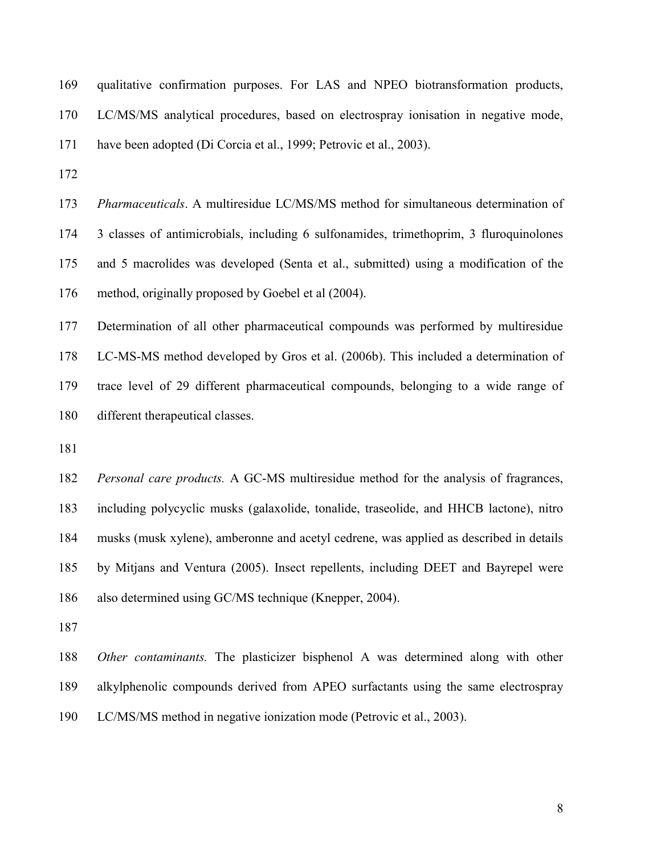| 169 | qualitative confirmation purposes. For LAS and NPEO biotransformation products,        |
|-----|----------------------------------------------------------------------------------------|
|     | 170 LC/MS/MS analytical procedures, based on electrospray ionisation in negative mode, |
| 171 | have been adopted (Di Corcia et al., 1999; Petrovic et al., 2003).                     |
| 172 |                                                                                        |
|     |                                                                                        |

 *Pharmaceuticals*. A multiresidue LC/MS/MS method for simultaneous determination of 3 classes of antimicrobials, including 6 sulfonamides, trimethoprim, 3 fluroquinolones and 5 macrolides was developed (Senta et al., submitted) using a modification of the method, originally proposed by Goebel et al (2004).

 Determination of all other pharmaceutical compounds was performed by multiresidue LC-MS-MS method developed by Gros et al. (2006b). This included a determination of trace level of 29 different pharmaceutical compounds, belonging to a wide range of different therapeutical classes.

 *Personal care products.* A GC-MS multiresidue method for the analysis of fragrances, including polycyclic musks (galaxolide, tonalide, traseolide, and HHCB lactone), nitro musks (musk xylene), amberonne and acetyl cedrene, was applied as described in details by Mitjans and Ventura (2005). Insect repellents, including DEET and Bayrepel were also determined using GC/MS technique (Knepper, 2004).

 *Other contaminants.* The plasticizer bisphenol A was determined along with other alkylphenolic compounds derived from APEO surfactants using the same electrospray LC/MS/MS method in negative ionization mode (Petrovic et al., 2003).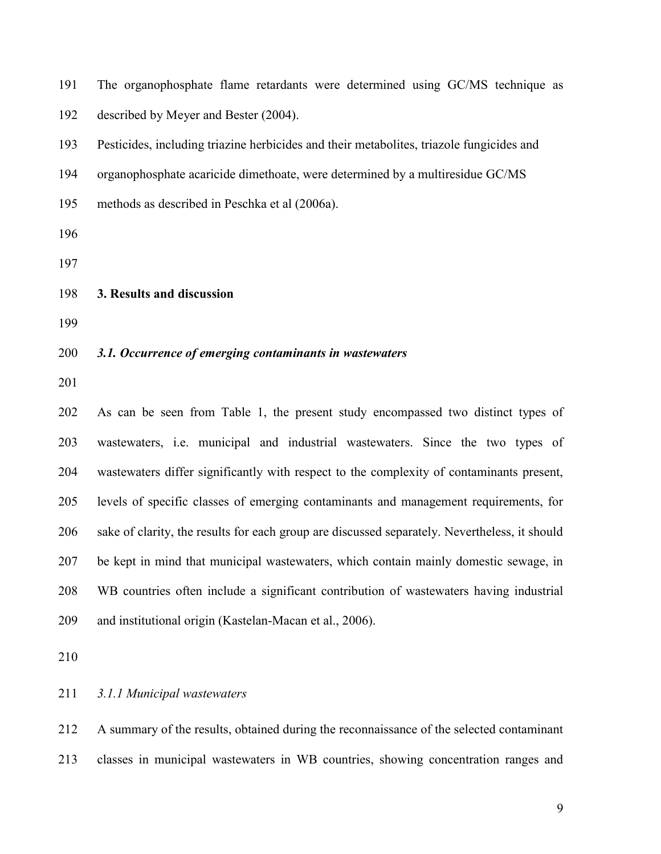The organophosphate flame retardants were determined using GC/MS technique as described by Meyer and Bester (2004).

Pesticides, including triazine herbicides and their metabolites, triazole fungicides and

organophosphate acaricide dimethoate, were determined by a multiresidue GC/MS

- methods as described in Peschka et al (2006a).
- 
- 

#### **3. Results and discussion**

#### *3.1. Occurrence of emerging contaminants in wastewaters*

 As can be seen from Table 1, the present study encompassed two distinct types of wastewaters, i.e. municipal and industrial wastewaters. Since the two types of wastewaters differ significantly with respect to the complexity of contaminants present, levels of specific classes of emerging contaminants and management requirements, for sake of clarity, the results for each group are discussed separately. Nevertheless, it should be kept in mind that municipal wastewaters, which contain mainly domestic sewage, in WB countries often include a significant contribution of wastewaters having industrial and institutional origin (Kastelan-Macan et al., 2006).

#### *3.1.1 Municipal wastewaters*

 A summary of the results, obtained during the reconnaissance of the selected contaminant classes in municipal wastewaters in WB countries, showing concentration ranges and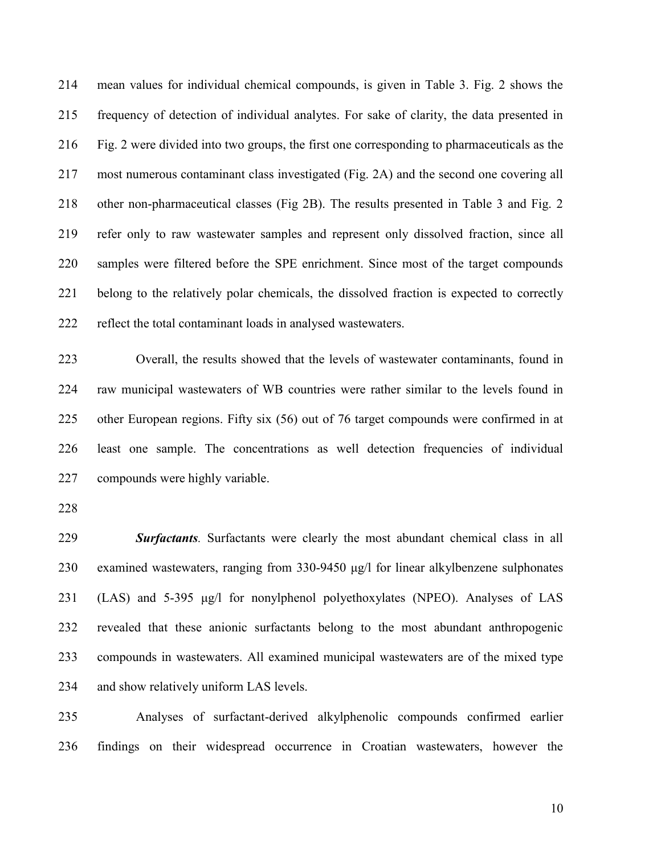mean values for individual chemical compounds, is given in Table 3. Fig. 2 shows the frequency of detection of individual analytes. For sake of clarity, the data presented in Fig. 2 were divided into two groups, the first one corresponding to pharmaceuticals as the most numerous contaminant class investigated (Fig. 2A) and the second one covering all other non-pharmaceutical classes (Fig 2B). The results presented in Table 3 and Fig. 2 refer only to raw wastewater samples and represent only dissolved fraction, since all samples were filtered before the SPE enrichment. Since most of the target compounds belong to the relatively polar chemicals, the dissolved fraction is expected to correctly reflect the total contaminant loads in analysed wastewaters.

 Overall, the results showed that the levels of wastewater contaminants, found in raw municipal wastewaters of WB countries were rather similar to the levels found in other European regions. Fifty six (56) out of 76 target compounds were confirmed in at least one sample. The concentrations as well detection frequencies of individual compounds were highly variable.

 *Surfactants.* Surfactants were clearly the most abundant chemical class in all examined wastewaters, ranging from 330-9450 μg/l for linear alkylbenzene sulphonates (LAS) and 5-395 μg/l for nonylphenol polyethoxylates (NPEO). Analyses of LAS revealed that these anionic surfactants belong to the most abundant anthropogenic compounds in wastewaters. All examined municipal wastewaters are of the mixed type and show relatively uniform LAS levels.

 Analyses of surfactant-derived alkylphenolic compounds confirmed earlier findings on their widespread occurrence in Croatian wastewaters, however the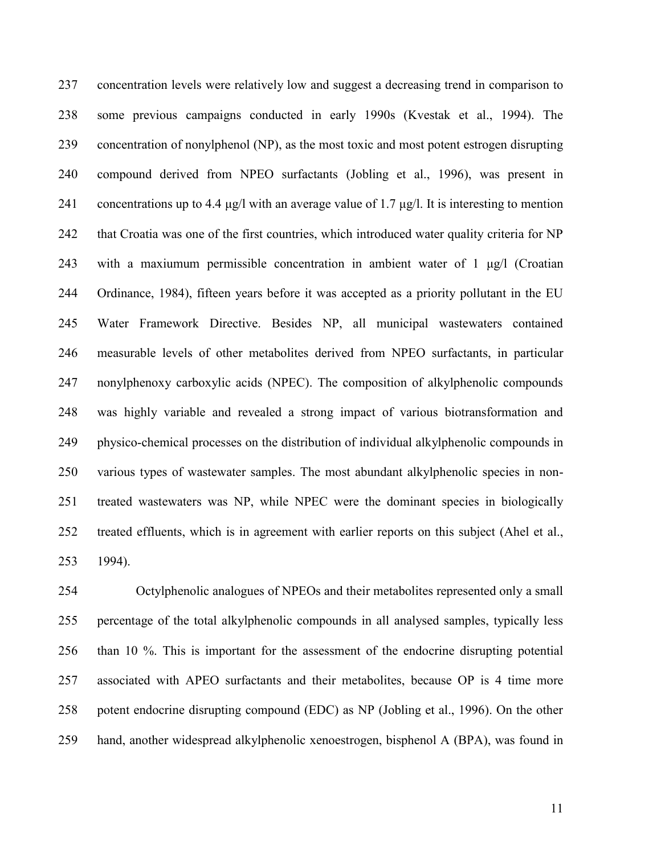concentration levels were relatively low and suggest a decreasing trend in comparison to some previous campaigns conducted in early 1990s (Kvestak et al., 1994). The concentration of nonylphenol (NP), as the most toxic and most potent estrogen disrupting compound derived from NPEO surfactants (Jobling et al., 1996), was present in 241 concentrations up to 4.4 μg/l with an average value of 1.7 μg/l. It is interesting to mention that Croatia was one of the first countries, which introduced water quality criteria for NP with a maxiumum permissible concentration in ambient water of 1 μg/l (Croatian Ordinance, 1984), fifteen years before it was accepted as a priority pollutant in the EU Water Framework Directive. Besides NP, all municipal wastewaters contained measurable levels of other metabolites derived from NPEO surfactants, in particular nonylphenoxy carboxylic acids (NPEC). The composition of alkylphenolic compounds was highly variable and revealed a strong impact of various biotransformation and physico-chemical processes on the distribution of individual alkylphenolic compounds in various types of wastewater samples. The most abundant alkylphenolic species in non- treated wastewaters was NP, while NPEC were the dominant species in biologically treated effluents, which is in agreement with earlier reports on this subject (Ahel et al., 1994).

 Octylphenolic analogues of NPEOs and their metabolites represented only a small percentage of the total alkylphenolic compounds in all analysed samples, typically less than 10 %. This is important for the assessment of the endocrine disrupting potential associated with APEO surfactants and their metabolites, because OP is 4 time more potent endocrine disrupting compound (EDC) as NP (Jobling et al., 1996). On the other hand, another widespread alkylphenolic xenoestrogen, bisphenol A (BPA), was found in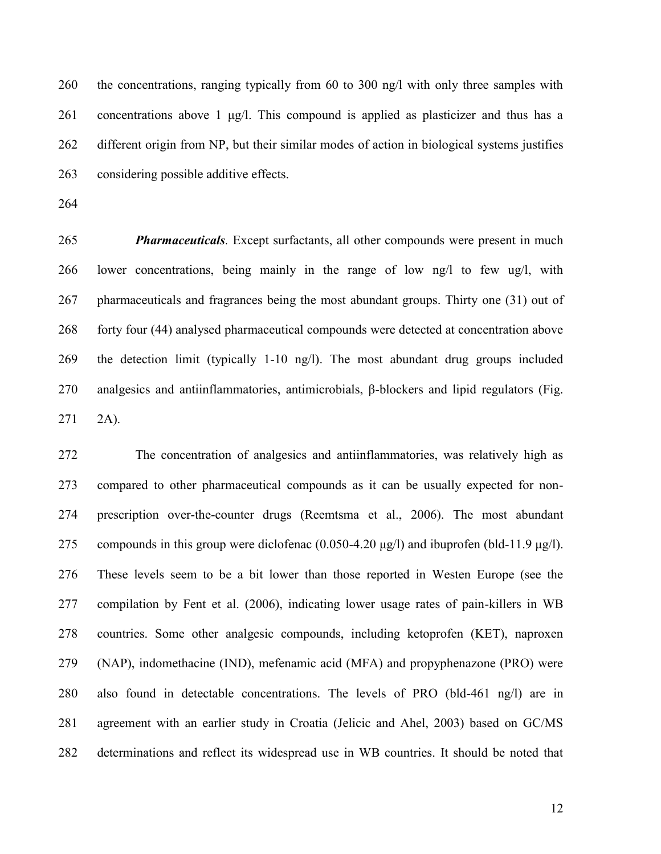the concentrations, ranging typically from 60 to 300 ng/l with only three samples with concentrations above 1 μg/l. This compound is applied as plasticizer and thus has a different origin from NP, but their similar modes of action in biological systems justifies considering possible additive effects.

 *Pharmaceuticals.* Except surfactants, all other compounds were present in much lower concentrations, being mainly in the range of low ng/l to few ug/l, with pharmaceuticals and fragrances being the most abundant groups. Thirty one (31) out of forty four (44) analysed pharmaceutical compounds were detected at concentration above the detection limit (typically 1-10 ng/l). The most abundant drug groups included analgesics and antiinflammatories, antimicrobials, β-blockers and lipid regulators (Fig. 2A).

 The concentration of analgesics and antiinflammatories, was relatively high as compared to other pharmaceutical compounds as it can be usually expected for non- prescription over-the-counter drugs (Reemtsma et al., 2006). The most abundant 275 compounds in this group were diclofenac  $(0.050 - 4.20 \mu g/l)$  and ibuprofen (bld-11.9 μg/l). These levels seem to be a bit lower than those reported in Westen Europe (see the compilation by Fent et al. (2006), indicating lower usage rates of pain-killers in WB countries. Some other analgesic compounds, including ketoprofen (KET), naproxen (NAP), indomethacine (IND), mefenamic acid (MFA) and propyphenazone (PRO) were also found in detectable concentrations. The levels of PRO (bld-461 ng/l) are in agreement with an earlier study in Croatia (Jelicic and Ahel, 2003) based on GC/MS determinations and reflect its widespread use in WB countries. It should be noted that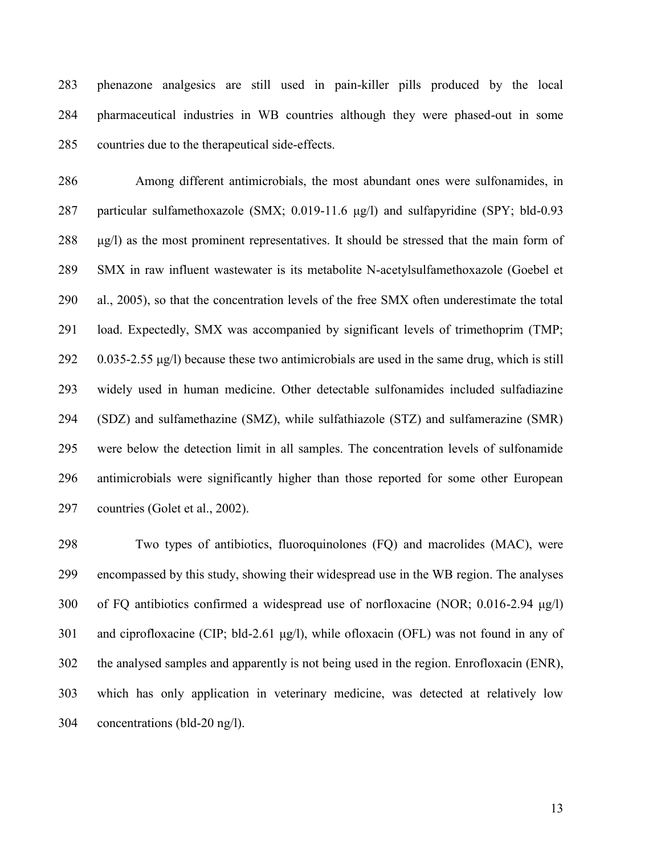phenazone analgesics are still used in pain-killer pills produced by the local pharmaceutical industries in WB countries although they were phased-out in some countries due to the therapeutical side-effects.

 Among different antimicrobials, the most abundant ones were sulfonamides, in particular sulfamethoxazole (SMX; 0.019-11.6 μg/l) and sulfapyridine (SPY; bld-0.93 μg/l) as the most prominent representatives. It should be stressed that the main form of SMX in raw influent wastewater is its metabolite N-acetylsulfamethoxazole (Goebel et al., 2005), so that the concentration levels of the free SMX often underestimate the total load. Expectedly, SMX was accompanied by significant levels of trimethoprim (TMP; 0.035-2.55 μg/l) because these two antimicrobials are used in the same drug, which is still widely used in human medicine. Other detectable sulfonamides included sulfadiazine (SDZ) and sulfamethazine (SMZ), while sulfathiazole (STZ) and sulfamerazine (SMR) were below the detection limit in all samples. The concentration levels of sulfonamide antimicrobials were significantly higher than those reported for some other European countries (Golet et al., 2002).

 Two types of antibiotics, fluoroquinolones (FQ) and macrolides (MAC), were encompassed by this study, showing their widespread use in the WB region. The analyses of FQ antibiotics confirmed a widespread use of norfloxacine (NOR; 0.016-2.94 μg/l) and ciprofloxacine (CIP; bld-2.61 μg/l), while ofloxacin (OFL) was not found in any of the analysed samples and apparently is not being used in the region. Enrofloxacin (ENR), which has only application in veterinary medicine, was detected at relatively low concentrations (bld-20 ng/l).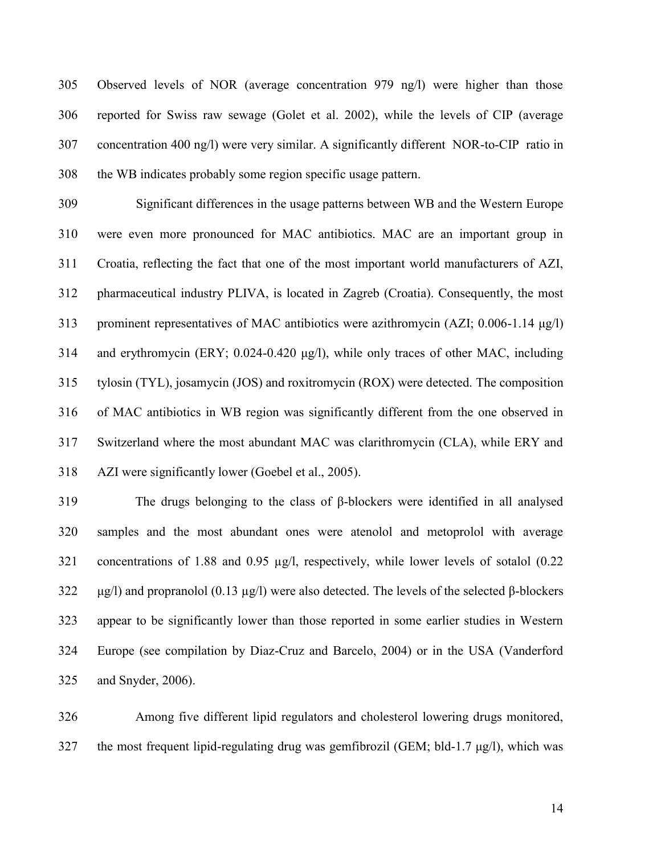Observed levels of NOR (average concentration 979 ng/l) were higher than those reported for Swiss raw sewage (Golet et al. 2002), while the levels of CIP (average concentration 400 ng/l) were very similar. A significantly different NOR-to-CIP ratio in the WB indicates probably some region specific usage pattern.

 Significant differences in the usage patterns between WB and the Western Europe were even more pronounced for MAC antibiotics. MAC are an important group in Croatia, reflecting the fact that one of the most important world manufacturers of AZI, pharmaceutical industry PLIVA, is located in Zagreb (Croatia). Consequently, the most prominent representatives of MAC antibiotics were azithromycin (AZI; 0.006-1.14 μg/l) and erythromycin (ERY; 0.024-0.420 μg/l), while only traces of other MAC, including tylosin (TYL), josamycin (JOS) and roxitromycin (ROX) were detected. The composition of MAC antibiotics in WB region was significantly different from the one observed in Switzerland where the most abundant MAC was clarithromycin (CLA), while ERY and AZI were significantly lower (Goebel et al., 2005).

 The drugs belonging to the class of β-blockers were identified in all analysed samples and the most abundant ones were atenolol and metoprolol with average concentrations of 1.88 and 0.95 µg/l, respectively, while lower levels of sotalol (0.22 μg/l) and propranolol (0.13 µg/l) were also detected. The levels of the selected β-blockers appear to be significantly lower than those reported in some earlier studies in Western Europe (see compilation by Diaz-Cruz and Barcelo, 2004) or in the USA (Vanderford and Snyder, 2006).

 Among five different lipid regulators and cholesterol lowering drugs monitored, the most frequent lipid-regulating drug was gemfibrozil (GEM; bld-1.7 μg/l), which was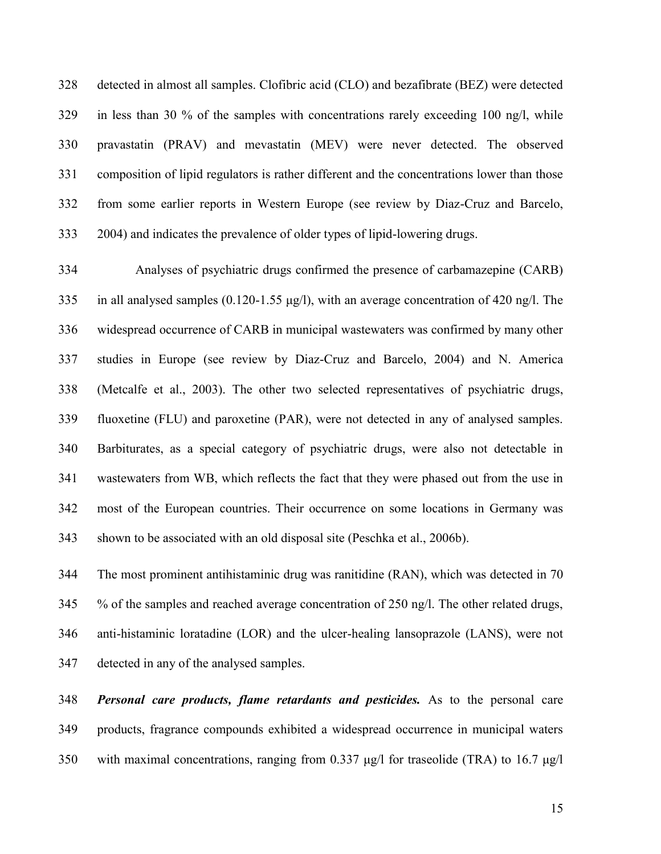detected in almost all samples. Clofibric acid (CLO) and bezafibrate (BEZ) were detected in less than 30 % of the samples with concentrations rarely exceeding 100 ng/l, while pravastatin (PRAV) and mevastatin (MEV) were never detected. The observed composition of lipid regulators is rather different and the concentrations lower than those from some earlier reports in Western Europe (see review by Diaz-Cruz and Barcelo, 2004) and indicates the prevalence of older types of lipid-lowering drugs.

 Analyses of psychiatric drugs confirmed the presence of carbamazepine (CARB) in all analysed samples (0.120-1.55 μg/l), with an average concentration of 420 ng/l. The widespread occurrence of CARB in municipal wastewaters was confirmed by many other studies in Europe (see review by Diaz-Cruz and Barcelo, 2004) and N. America (Metcalfe et al., 2003). The other two selected representatives of psychiatric drugs, fluoxetine (FLU) and paroxetine (PAR), were not detected in any of analysed samples. Barbiturates, as a special category of psychiatric drugs, were also not detectable in wastewaters from WB, which reflects the fact that they were phased out from the use in most of the European countries. Their occurrence on some locations in Germany was shown to be associated with an old disposal site (Peschka et al., 2006b).

 The most prominent antihistaminic drug was ranitidine (RAN), which was detected in 70 % of the samples and reached average concentration of 250 ng/l. The other related drugs, anti-histaminic loratadine (LOR) and the ulcer-healing lansoprazole (LANS), were not detected in any of the analysed samples.

 *Personal care products, flame retardants and pesticides.* As to the personal care products, fragrance compounds exhibited a widespread occurrence in municipal waters with maximal concentrations, ranging from 0.337 μg/l for traseolide (TRA) to 16.7 μg/l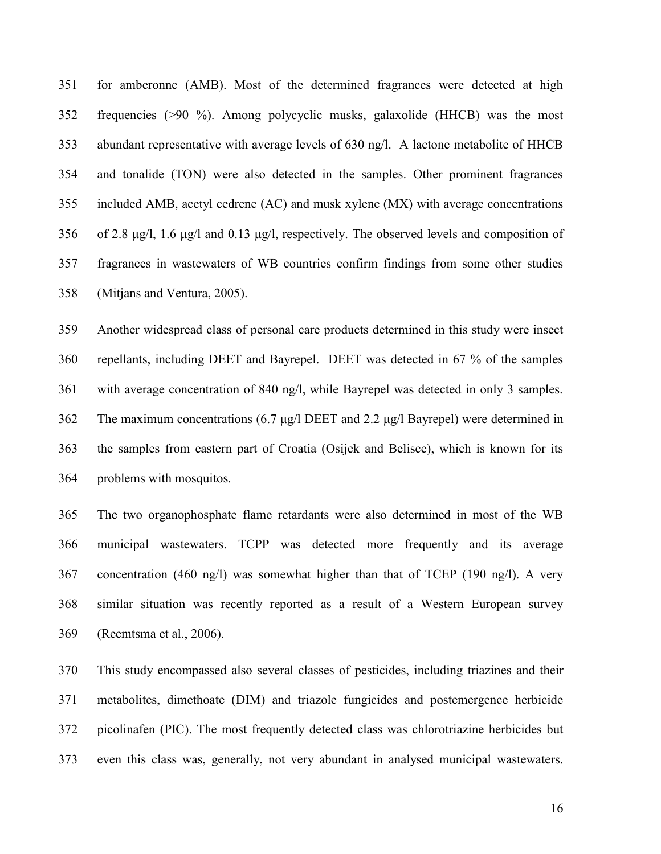for amberonne (AMB). Most of the determined fragrances were detected at high frequencies (>90 %). Among polycyclic musks, galaxolide (HHCB) was the most abundant representative with average levels of 630 ng/l. A lactone metabolite of HHCB and tonalide (TON) were also detected in the samples. Other prominent fragrances included AMB, acetyl cedrene (AC) and musk xylene (MX) with average concentrations of 2.8 μg/l, 1.6 μg/l and 0.13 μg/l, respectively. The observed levels and composition of fragrances in wastewaters of WB countries confirm findings from some other studies (Mitjans and Ventura, 2005).

 Another widespread class of personal care products determined in this study were insect repellants, including DEET and Bayrepel. DEET was detected in 67 % of the samples with average concentration of 840 ng/l, while Bayrepel was detected in only 3 samples. The maximum concentrations (6.7 μg/l DEET and 2.2 μg/l Bayrepel) were determined in the samples from eastern part of Croatia (Osijek and Belisce), which is known for its problems with mosquitos.

 The two organophosphate flame retardants were also determined in most of the WB municipal wastewaters. TCPP was detected more frequently and its average concentration (460 ng/l) was somewhat higher than that of TCEP (190 ng/l). A very similar situation was recently reported as a result of a Western European survey (Reemtsma et al., 2006).

 This study encompassed also several classes of pesticides, including triazines and their metabolites, dimethoate (DIM) and triazole fungicides and postemergence herbicide picolinafen (PIC). The most frequently detected class was chlorotriazine herbicides but even this class was, generally, not very abundant in analysed municipal wastewaters.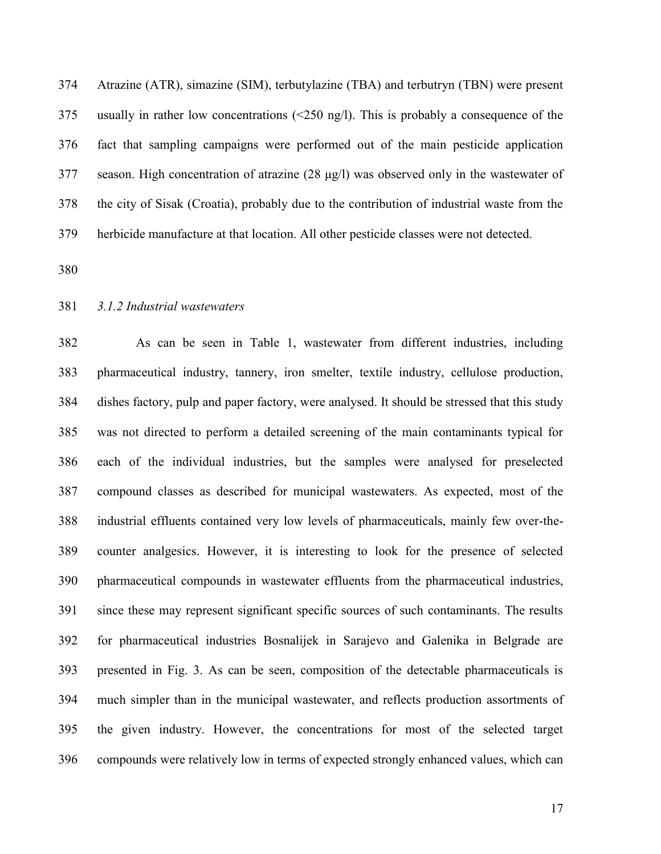Atrazine (ATR), simazine (SIM), terbutylazine (TBA) and terbutryn (TBN) were present usually in rather low concentrations (<250 ng/l). This is probably a consequence of the fact that sampling campaigns were performed out of the main pesticide application season. High concentration of atrazine (28 μg/l) was observed only in the wastewater of the city of Sisak (Croatia), probably due to the contribution of industrial waste from the herbicide manufacture at that location. All other pesticide classes were not detected.

#### *3.1.2 Industrial wastewaters*

 As can be seen in Table 1, wastewater from different industries, including pharmaceutical industry, tannery, iron smelter, textile industry, cellulose production, dishes factory, pulp and paper factory, were analysed. It should be stressed that this study was not directed to perform a detailed screening of the main contaminants typical for each of the individual industries, but the samples were analysed for preselected compound classes as described for municipal wastewaters. As expected, most of the industrial effluents contained very low levels of pharmaceuticals, mainly few over-the- counter analgesics. However, it is interesting to look for the presence of selected pharmaceutical compounds in wastewater effluents from the pharmaceutical industries, since these may represent significant specific sources of such contaminants. The results for pharmaceutical industries Bosnalijek in Sarajevo and Galenika in Belgrade are presented in Fig. 3. As can be seen, composition of the detectable pharmaceuticals is much simpler than in the municipal wastewater, and reflects production assortments of the given industry. However, the concentrations for most of the selected target compounds were relatively low in terms of expected strongly enhanced values, which can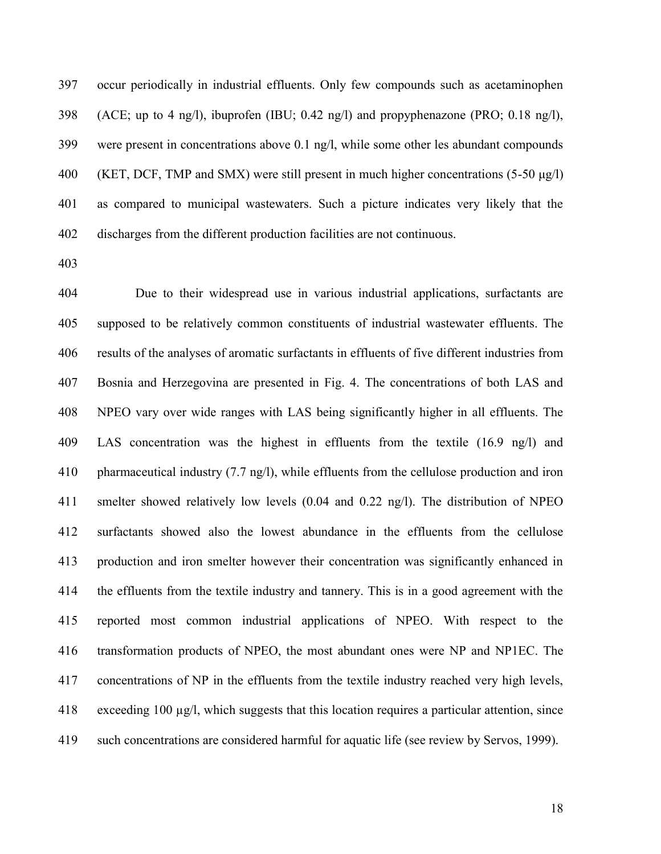occur periodically in industrial effluents. Only few compounds such as acetaminophen (ACE; up to 4 ng/l), ibuprofen (IBU; 0.42 ng/l) and propyphenazone (PRO; 0.18 ng/l), were present in concentrations above 0.1 ng/l, while some other les abundant compounds (KET, DCF, TMP and SMX) were still present in much higher concentrations (5-50 μg/l) as compared to municipal wastewaters. Such a picture indicates very likely that the discharges from the different production facilities are not continuous.

 Due to their widespread use in various industrial applications, surfactants are supposed to be relatively common constituents of industrial wastewater effluents. The results of the analyses of aromatic surfactants in effluents of five different industries from Bosnia and Herzegovina are presented in Fig. 4. The concentrations of both LAS and NPEO vary over wide ranges with LAS being significantly higher in all effluents. The LAS concentration was the highest in effluents from the textile (16.9 ng/l) and pharmaceutical industry (7.7 ng/l), while effluents from the cellulose production and iron smelter showed relatively low levels (0.04 and 0.22 ng/l). The distribution of NPEO surfactants showed also the lowest abundance in the effluents from the cellulose production and iron smelter however their concentration was significantly enhanced in the effluents from the textile industry and tannery. This is in a good agreement with the reported most common industrial applications of NPEO. With respect to the transformation products of NPEO, the most abundant ones were NP and NP1EC. The concentrations of NP in the effluents from the textile industry reached very high levels, exceeding 100 µg/l, which suggests that this location requires a particular attention, since such concentrations are considered harmful for aquatic life (see review by Servos, 1999).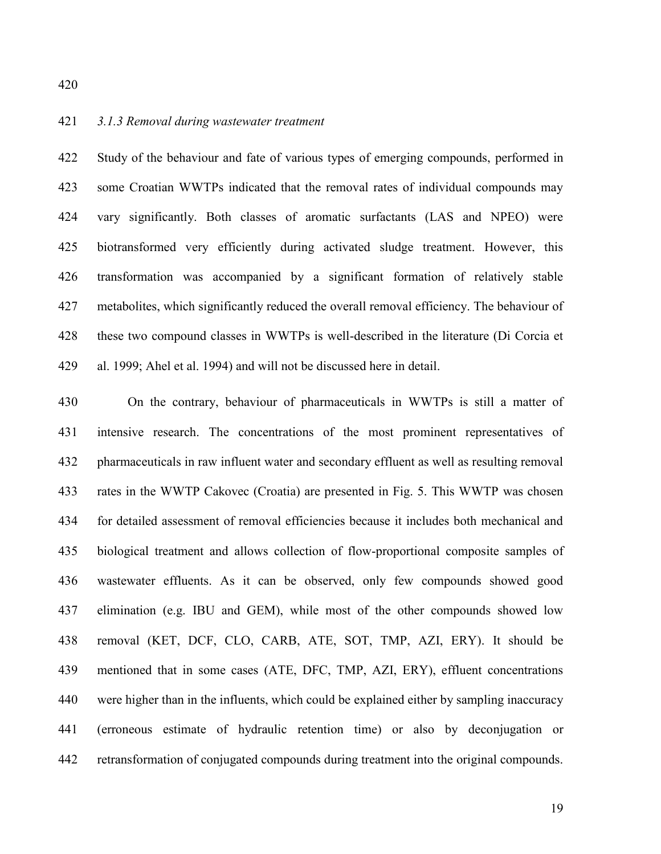#### *3.1.3 Removal during wastewater treatment*

 Study of the behaviour and fate of various types of emerging compounds, performed in some Croatian WWTPs indicated that the removal rates of individual compounds may vary significantly. Both classes of aromatic surfactants (LAS and NPEO) were biotransformed very efficiently during activated sludge treatment. However, this transformation was accompanied by a significant formation of relatively stable metabolites, which significantly reduced the overall removal efficiency. The behaviour of these two compound classes in WWTPs is well-described in the literature (Di Corcia et al. 1999; Ahel et al. 1994) and will not be discussed here in detail.

 On the contrary, behaviour of pharmaceuticals in WWTPs is still a matter of intensive research. The concentrations of the most prominent representatives of pharmaceuticals in raw influent water and secondary effluent as well as resulting removal rates in the WWTP Cakovec (Croatia) are presented in Fig. 5. This WWTP was chosen for detailed assessment of removal efficiencies because it includes both mechanical and biological treatment and allows collection of flow-proportional composite samples of wastewater effluents. As it can be observed, only few compounds showed good elimination (e.g. IBU and GEM), while most of the other compounds showed low removal (KET, DCF, CLO, CARB, ATE, SOT, TMP, AZI, ERY). It should be mentioned that in some cases (ATE, DFC, TMP, AZI, ERY), effluent concentrations were higher than in the influents, which could be explained either by sampling inaccuracy (erroneous estimate of hydraulic retention time) or also by deconjugation or retransformation of conjugated compounds during treatment into the original compounds.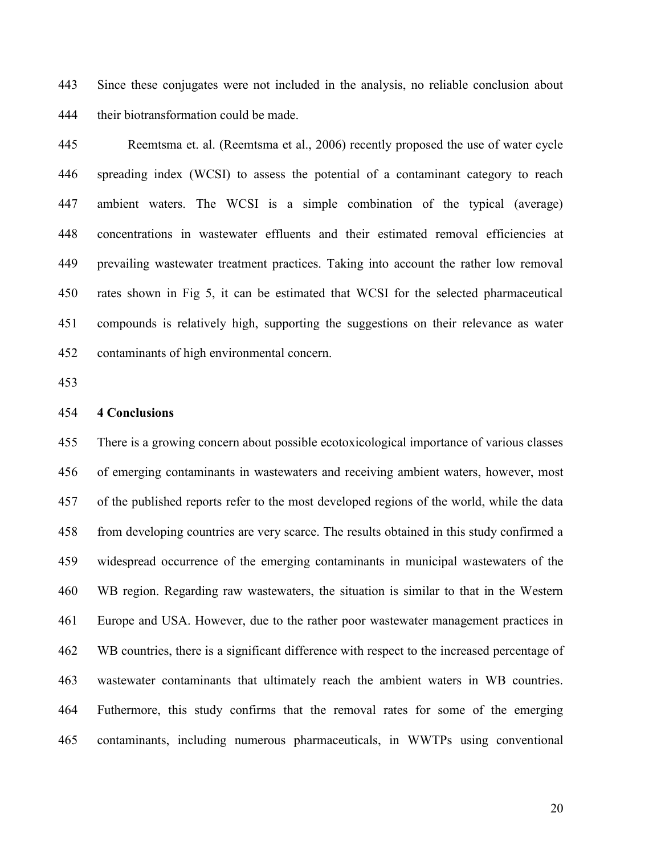Since these conjugates were not included in the analysis, no reliable conclusion about their biotransformation could be made.

 Reemtsma et. al. (Reemtsma et al., 2006) recently proposed the use of water cycle spreading index (WCSI) to assess the potential of a contaminant category to reach ambient waters. The WCSI is a simple combination of the typical (average) concentrations in wastewater effluents and their estimated removal efficiencies at prevailing wastewater treatment practices. Taking into account the rather low removal rates shown in Fig 5, it can be estimated that WCSI for the selected pharmaceutical compounds is relatively high, supporting the suggestions on their relevance as water contaminants of high environmental concern.

#### **4 Conclusions**

 There is a growing concern about possible ecotoxicological importance of various classes of emerging contaminants in wastewaters and receiving ambient waters, however, most of the published reports refer to the most developed regions of the world, while the data from developing countries are very scarce. The results obtained in this study confirmed a widespread occurrence of the emerging contaminants in municipal wastewaters of the WB region. Regarding raw wastewaters, the situation is similar to that in the Western Europe and USA. However, due to the rather poor wastewater management practices in WB countries, there is a significant difference with respect to the increased percentage of wastewater contaminants that ultimately reach the ambient waters in WB countries. Futhermore, this study confirms that the removal rates for some of the emerging contaminants, including numerous pharmaceuticals, in WWTPs using conventional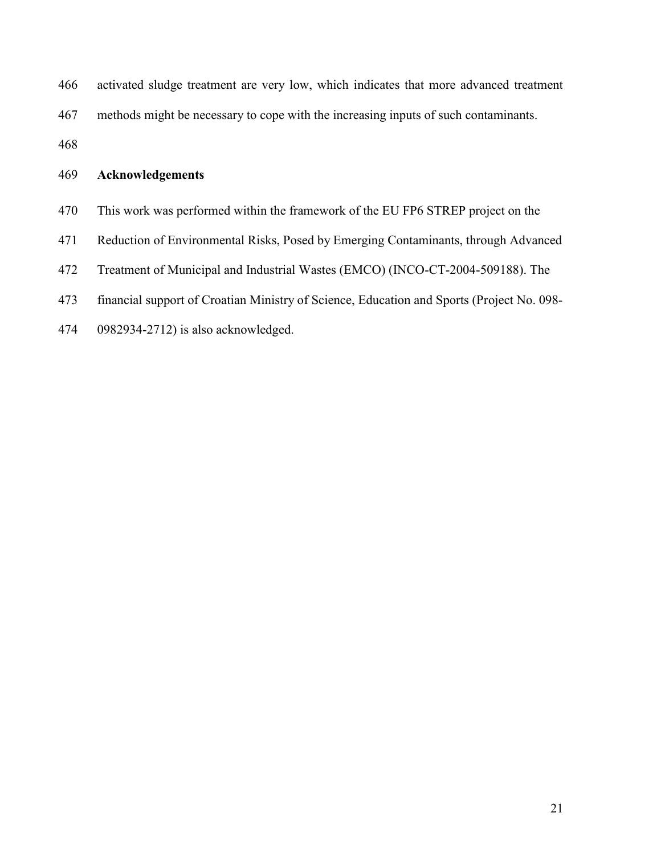| 466 | activated sludge treatment are very low, which indicates that more advanced treatment     |
|-----|-------------------------------------------------------------------------------------------|
| 467 | methods might be necessary to cope with the increasing inputs of such contaminants.       |
| 468 |                                                                                           |
| 469 | <b>Acknowledgements</b>                                                                   |
| 470 | This work was performed within the framework of the EU FP6 STREP project on the           |
| 471 | Reduction of Environmental Risks, Posed by Emerging Contaminants, through Advanced        |
| 472 | Treatment of Municipal and Industrial Wastes (EMCO) (INCO-CT-2004-509188). The            |
| 473 | financial support of Croatian Ministry of Science, Education and Sports (Project No. 098- |
| 474 | 0982934-2712) is also acknowledged.                                                       |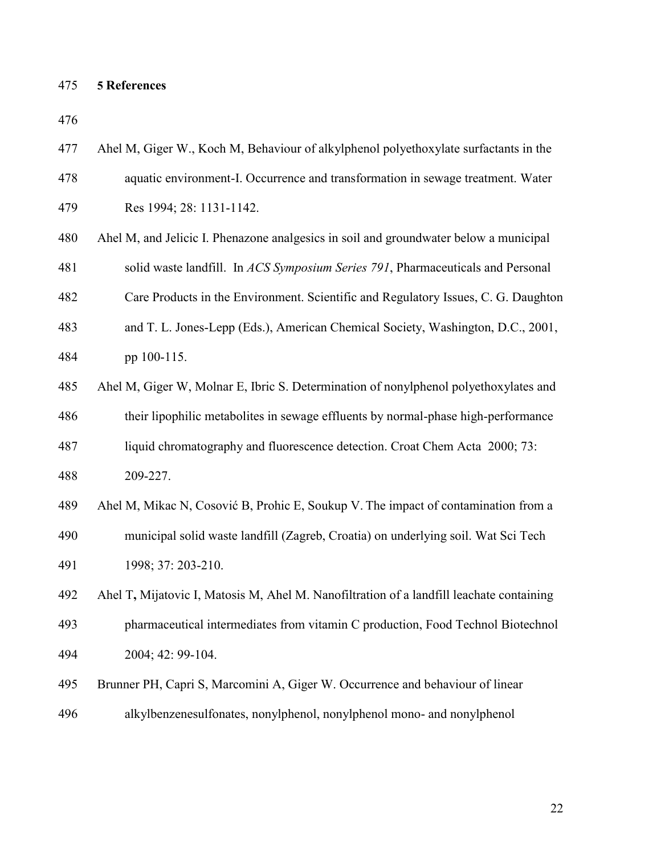### **5 References**

| 477 | Ahel M, Giger W., Koch M, Behaviour of alkylphenol polyethoxylate surfactants in the     |
|-----|------------------------------------------------------------------------------------------|
| 478 | aquatic environment-I. Occurrence and transformation in sewage treatment. Water          |
| 479 | Res 1994; 28: 1131-1142.                                                                 |
| 480 | Ahel M, and Jelicic I. Phenazone analgesics in soil and groundwater below a municipal    |
| 481 | solid waste landfill. In ACS Symposium Series 791, Pharmaceuticals and Personal          |
| 482 | Care Products in the Environment. Scientific and Regulatory Issues, C. G. Daughton       |
| 483 | and T. L. Jones-Lepp (Eds.), American Chemical Society, Washington, D.C., 2001,          |
| 484 | pp 100-115.                                                                              |
| 485 | Ahel M, Giger W, Molnar E, Ibric S. Determination of nonylphenol polyethoxylates and     |
| 486 | their lipophilic metabolites in sewage effluents by normal-phase high-performance        |
| 487 | liquid chromatography and fluorescence detection. Croat Chem Acta 2000; 73:              |
| 488 | 209-227.                                                                                 |
| 489 | Ahel M, Mikac N, Cosović B, Prohic E, Soukup V. The impact of contamination from a       |
| 490 | municipal solid waste landfill (Zagreb, Croatia) on underlying soil. Wat Sci Tech        |
| 491 | 1998; 37: 203-210.                                                                       |
| 492 | Ahel T, Mijatovic I, Matosis M, Ahel M. Nanofiltration of a landfill leachate containing |
| 493 | pharmaceutical intermediates from vitamin C production, Food Technol Biotechnol          |
| 494 | 2004; 42: 99-104.                                                                        |
| 495 | Brunner PH, Capri S, Marcomini A, Giger W. Occurrence and behaviour of linear            |
| 496 | alkylbenzenesulfonates, nonylphenol, nonylphenol mono- and nonylphenol                   |
|     |                                                                                          |
|     |                                                                                          |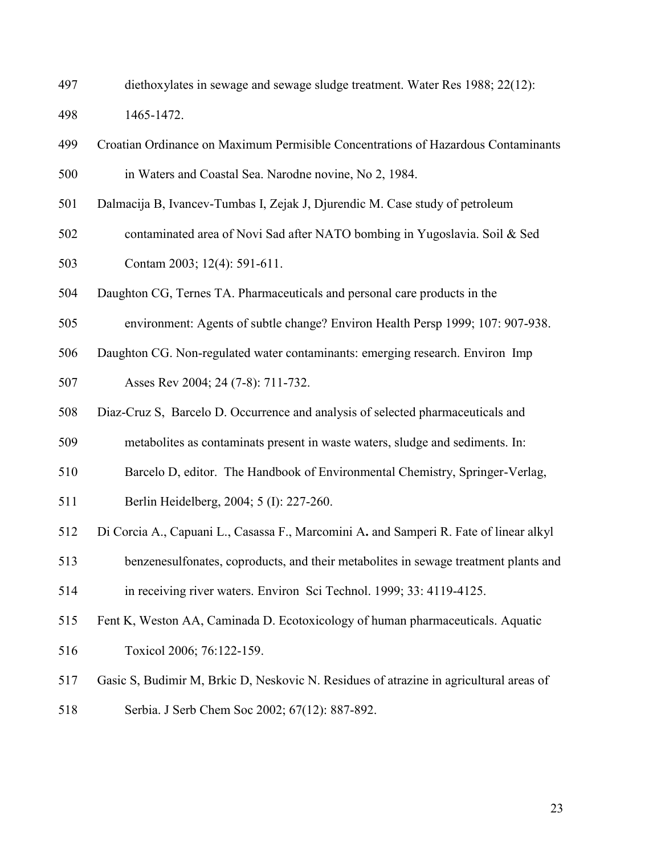diethoxylates in sewage and sewage sludge treatment. Water Res 1988; 22(12):

1465-1472.

- Croatian Ordinance on Maximum Permisible Concentrations of Hazardous Contaminants in Waters and Coastal Sea. Narodne novine, No 2, 1984.
- Dalmacija B, Ivancev-Tumbas I, Zejak J, Djurendic M. Case study of petroleum
- contaminated area of Novi Sad after NATO bombing in Yugoslavia. Soil & Sed Contam 2003; 12(4): 591-611.
- Daughton CG, Ternes TA. Pharmaceuticals and personal care products in the
- environment: Agents of subtle change? Environ Health Persp 1999; 107: 907-938.
- Daughton CG. Non-regulated water contaminants: emerging research. Environ Imp

Asses Rev 2004; 24 (7-8): 711-732.

- Diaz-Cruz S, Barcelo D. Occurrence and analysis of selected pharmaceuticals and
- metabolites as contaminats present in waste waters, sludge and sediments. In:
- Barcelo D, editor. The Handbook of Environmental Chemistry, Springer-Verlag,
- Berlin Heidelberg, 2004; 5 (I): 227-260.
- Di Corcia A., Capuani L., Casassa F., Marcomini A**.** and Samperi R. Fate of linear alkyl
- benzenesulfonates, coproducts, and their metabolites in sewage treatment plants and in receiving river waters. Environ Sci Technol. 1999; 33: 4119-4125.
- Fent K, Weston AA, Caminada D. Ecotoxicology of human pharmaceuticals. Aquatic
- Toxicol 2006; 76:122-159.
- Gasic S, Budimir M, Brkic D, Neskovic N. Residues of atrazine in agricultural areas of
- Serbia. J Serb Chem Soc 2002; 67(12): 887-892.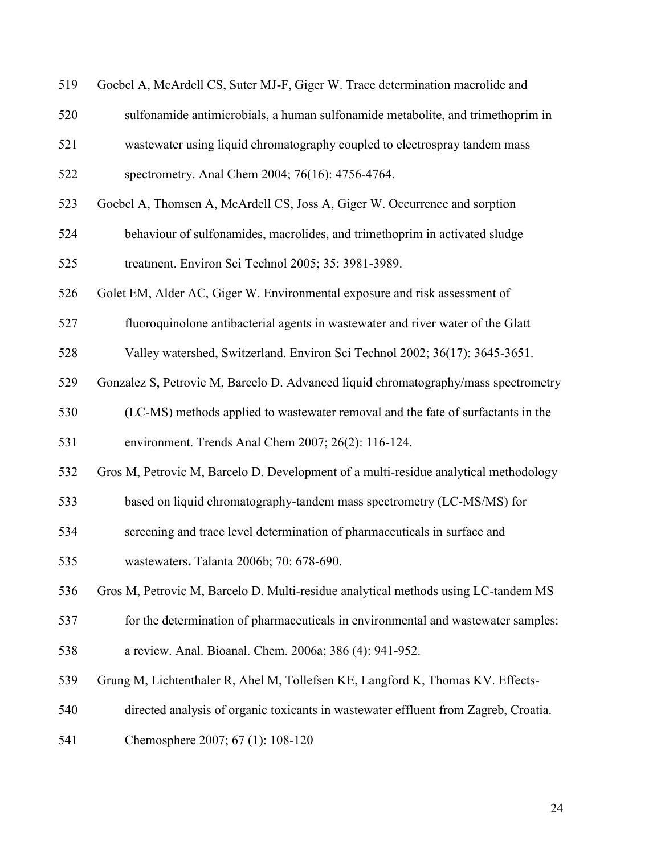| 519 | Goebel A, McArdell CS, Suter MJ-F, Giger W. Trace determination macrolide and   |
|-----|---------------------------------------------------------------------------------|
| 520 | sulfonamide antimicrobials, a human sulfonamide metabolite, and trimethoprim in |
| 521 | was tewater using liquid chromatography coupled to electrospray tandem mass     |
| 522 | spectrometry. Anal Chem 2004; 76(16): 4756-4764.                                |
| 523 | Goebel A, Thomsen A, McArdell CS, Joss A, Giger W. Occurrence and sorption      |
| 524 | behaviour of sulfonamides, macrolides, and trimethoprim in activated sludge     |
| 525 | treatment. Environ Sci Technol 2005; 35: 3981-3989.                             |
| 526 | Golet EM, Alder AC, Giger W. Environmental exposure and risk assessment of      |
| 527 | fluoroquinolone antibacterial agents in wastewater and river water of the Glatt |
| 528 | Valley watershed, Switzerland. Environ Sci Technol 2002; 36(17): 3645-3651.     |

- Gonzalez S, Petrovic M, Barcelo D. Advanced liquid chromatography/mass spectrometry
- (LC-MS) methods applied to wastewater removal and the fate of surfactants in the

environment. Trends Anal Chem 2007; 26(2): 116-124.

- Gros M, Petrovic M, Barcelo D. Development of a multi-residue analytical methodology
- based on liquid chromatography-tandem mass spectrometry (LC-MS/MS) for
- screening and trace level determination of pharmaceuticals in surface and

wastewaters**.** Talanta 2006b; 70: 678-690.

Gros M, Petrovic M, Barcelo D. Multi-residue analytical methods using LC-tandem MS

- for the determination of pharmaceuticals in environmental and wastewater samples:
- a review. Anal. Bioanal. Chem. 2006a; 386 (4): 941-952.
- Grung M, Lichtenthaler R, Ahel M, Tollefsen KE, Langford K, Thomas KV. Effects-
- directed analysis of organic toxicants in wastewater effluent from Zagreb, Croatia.
- Chemosphere 2007; 67 (1): 108-120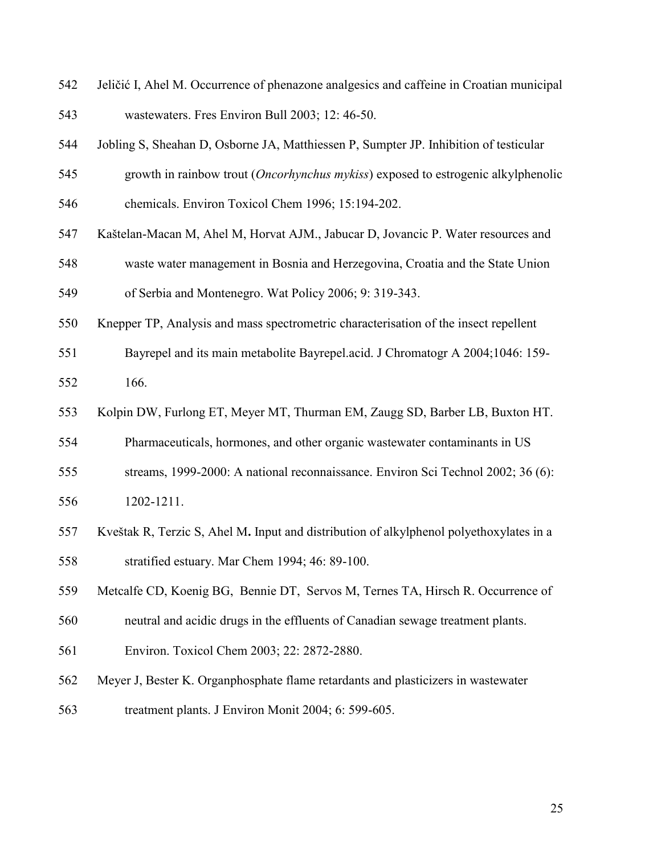- Jeličić I, Ahel M. Occurrence of phenazone analgesics and caffeine in Croatian municipal wastewaters. Fres Environ Bull 2003; 12: 46-50.
- Jobling S, Sheahan D, Osborne JA, Matthiessen P, Sumpter JP. Inhibition of testicular
- growth in rainbow trout (*Oncorhynchus mykiss*) exposed to estrogenic alkylphenolic
- chemicals. Environ Toxicol Chem 1996; 15:194-202.
- Kaštelan-Macan M, Ahel M, Horvat AJM., Jabucar D, Jovancic P. Water resources and
- waste water management in Bosnia and Herzegovina, Croatia and the State Union of Serbia and Montenegro. Wat Policy 2006; 9: 319-343.
- Knepper TP, Analysis and mass spectrometric characterisation of the insect repellent
- Bayrepel and its main metabolite Bayrepel.acid. J Chromatogr A 2004;1046: 159- 166.
- Kolpin DW, Furlong ET, Meyer MT, Thurman EM, Zaugg SD, Barber LB, Buxton HT.
- Pharmaceuticals, hormones, and other organic wastewater contaminants in US
- streams, 1999-2000: A national reconnaissance. Environ Sci Technol 2002; 36 (6):
- 1202-1211.
- Kveštak R, Terzic S, Ahel M**.** Input and distribution of alkylphenol polyethoxylates in a stratified estuary. Mar Chem 1994; 46: 89-100.
- Metcalfe CD, Koenig BG, Bennie DT, Servos M, Ternes TA, Hirsch R. Occurrence of
- neutral and acidic drugs in the effluents of Canadian sewage treatment plants.
- Environ. Toxicol Chem 2003; 22: 2872-2880.
- Meyer J, Bester K. Organphosphate flame retardants and plasticizers in wastewater treatment plants. J Environ Monit 2004; 6: 599-605.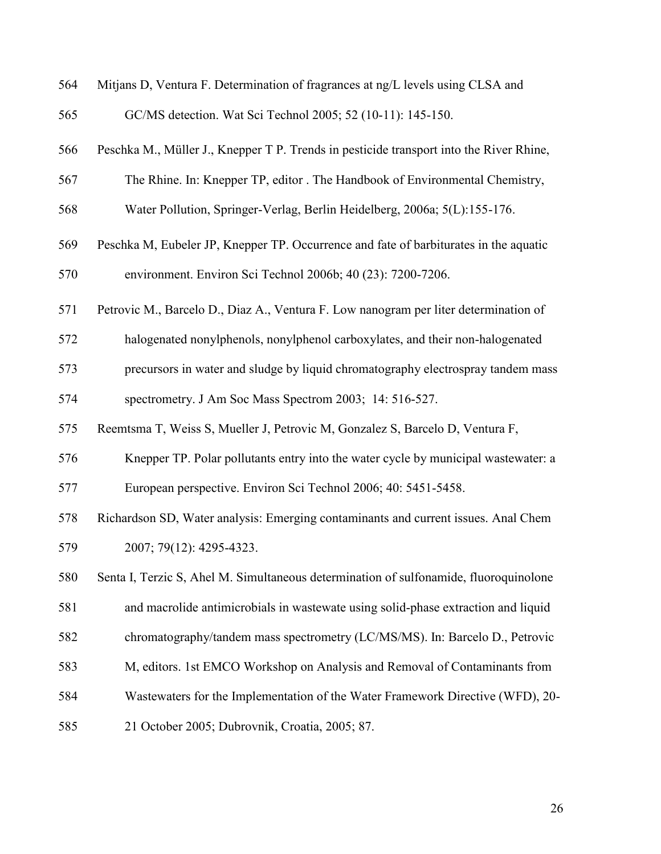| 564 | Mitjans D, Ventura F. Determination of fragrances at ng/L levels using CLSA and         |
|-----|-----------------------------------------------------------------------------------------|
| 565 | GC/MS detection. Wat Sci Technol 2005; 52 (10-11): 145-150.                             |
| 566 | Peschka M., Müller J., Knepper T P. Trends in pesticide transport into the River Rhine, |
| 567 | The Rhine. In: Knepper TP, editor . The Handbook of Environmental Chemistry,            |
| 568 | Water Pollution, Springer-Verlag, Berlin Heidelberg, 2006a; 5(L):155-176.               |
| 569 | Peschka M, Eubeler JP, Knepper TP. Occurrence and fate of barbiturates in the aquatic   |
| 570 | environment. Environ Sci Technol 2006b; 40 (23): 7200-7206.                             |
| 571 | Petrovic M., Barcelo D., Diaz A., Ventura F. Low nanogram per liter determination of    |
| 572 | halogenated nonylphenols, nonylphenol carboxylates, and their non-halogenated           |
| 573 | precursors in water and sludge by liquid chromatography electrospray tandem mass        |
| 574 | spectrometry. J Am Soc Mass Spectrom 2003; 14: 516-527.                                 |
| 575 | Reemtsma T, Weiss S, Mueller J, Petrovic M, Gonzalez S, Barcelo D, Ventura F,           |
| 576 | Knepper TP. Polar pollutants entry into the water cycle by municipal wastewater: a      |
| 577 | European perspective. Environ Sci Technol 2006; 40: 5451-5458.                          |
| 578 | Richardson SD, Water analysis: Emerging contaminants and current issues. Anal Chem      |
| 579 | 2007; 79(12): 4295-4323.                                                                |
| 580 | Senta I, Terzic S, Ahel M. Simultaneous determination of sulfonamide, fluoroquinolone   |
| 581 | and macrolide antimicrobials in wastewate using solid-phase extraction and liquid       |
| 582 | chromatography/tandem mass spectrometry (LC/MS/MS). In: Barcelo D., Petrovic            |
| 583 | M, editors. 1st EMCO Workshop on Analysis and Removal of Contaminants from              |
| 584 | Wastewaters for the Implementation of the Water Framework Directive (WFD), 20-          |
| 585 | 21 October 2005; Dubrovnik, Croatia, 2005; 87.                                          |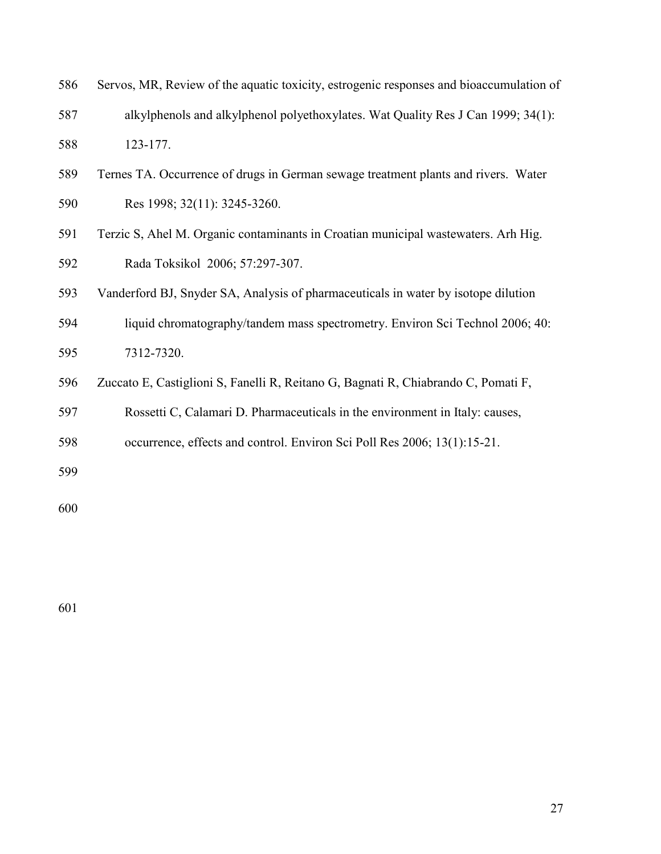| 586 | Servos, MR, Review of the aquatic toxicity, estrogenic responses and bioaccumulation of |
|-----|-----------------------------------------------------------------------------------------|
| 587 | alkylphenols and alkylphenol polyethoxylates. Wat Quality Res J Can 1999; 34(1):        |
| 588 | 123-177.                                                                                |

- Ternes TA. Occurrence of drugs in German sewage treatment plants and rivers. Water Res 1998; 32(11): 3245-3260.
- Terzic S, Ahel M. Organic contaminants in Croatian municipal wastewaters. Arh Hig. Rada Toksikol 2006; 57:297-307.
- Vanderford BJ, Snyder SA, Analysis of pharmaceuticals in water by isotope dilution
- liquid chromatography/tandem mass spectrometry. Environ Sci Technol 2006; 40: 7312-7320.
- Zuccato E, Castiglioni S, Fanelli R, Reitano G, Bagnati R, Chiabrando C, Pomati F,
- Rossetti C, Calamari D. Pharmaceuticals in the environment in Italy: causes,
- occurrence, effects and control. Environ Sci Poll Res 2006; 13(1):15-21.
-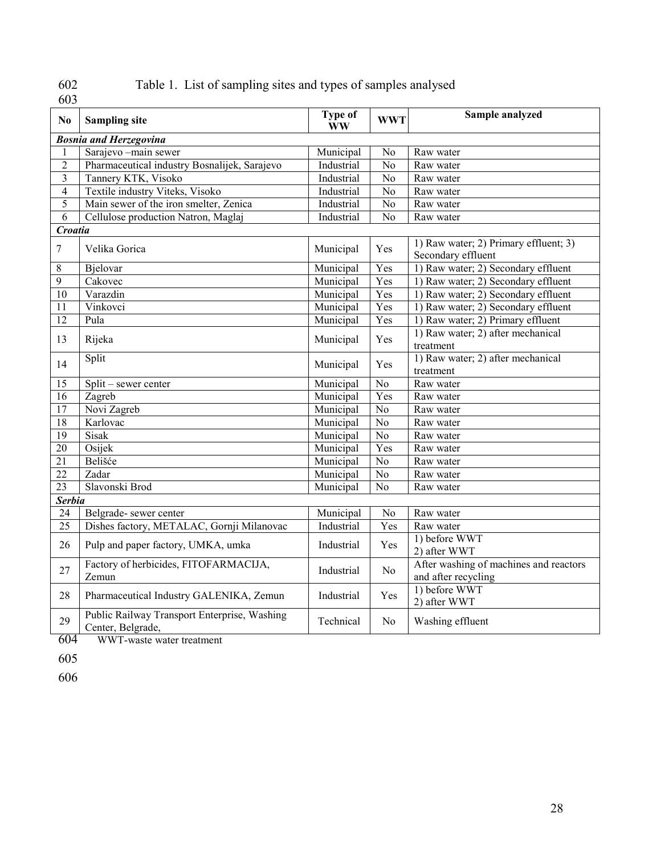# 602<br>603

## Table 1. List of sampling sites and types of samples analysed

| N <sub>0</sub>  | <b>Sampling site</b>                                              | <b>Type of</b><br><b>WW</b> | <b>WWT</b>      | Sample analyzed                                               |  |  |  |
|-----------------|-------------------------------------------------------------------|-----------------------------|-----------------|---------------------------------------------------------------|--|--|--|
|                 | <b>Bosnia and Herzegovina</b>                                     |                             |                 |                                                               |  |  |  |
|                 | Sarajevo -main sewer                                              | Municipal                   | No              | Raw water                                                     |  |  |  |
| $\overline{2}$  | Pharmaceutical industry Bosnalijek, Sarajevo                      | Industrial                  | $\overline{No}$ | Raw water                                                     |  |  |  |
| 3               | Tannery KTK, Visoko                                               | Industrial                  | No              | Raw water                                                     |  |  |  |
| $\overline{4}$  | Textile industry Viteks, Visoko                                   | Industrial                  | No              | Raw water                                                     |  |  |  |
| 5               | Main sewer of the iron smelter, Zenica                            | Industrial                  | No              | Raw water                                                     |  |  |  |
| 6               | Cellulose production Natron, Maglaj                               | Industrial                  | No              | Raw water                                                     |  |  |  |
| Croatia         |                                                                   |                             |                 |                                                               |  |  |  |
| 7               | Velika Gorica                                                     | Municipal                   | Yes             | 1) Raw water; 2) Primary effluent; 3)<br>Secondary effluent   |  |  |  |
| 8               | Bjelovar                                                          | Municipal                   | Yes             | 1) Raw water; 2) Secondary effluent                           |  |  |  |
| $\overline{9}$  | Cakovec                                                           | Municipal                   | Yes             | 1) Raw water; 2) Secondary effluent                           |  |  |  |
| $\overline{10}$ | Varazdin                                                          | Municipal                   | Yes             | 1) Raw water; 2) Secondary effluent                           |  |  |  |
| $\overline{11}$ | Vinkovci                                                          | Municipal                   | Yes             | 1) Raw water; 2) Secondary effluent                           |  |  |  |
| $\overline{12}$ | Pula                                                              | Municipal                   | Yes             | 1) Raw water; 2) Primary effluent                             |  |  |  |
| 13              | Rijeka                                                            | Municipal                   | Yes             | 1) Raw water; 2) after mechanical<br>treatment                |  |  |  |
| 14              | Split                                                             | Municipal                   | Yes             | 1) Raw water; 2) after mechanical<br>treatment                |  |  |  |
| 15              | Split – sewer center                                              | Municipal                   | No              | Raw water                                                     |  |  |  |
| 16              | Zagreb                                                            | Municipal                   | Yes             | Raw water                                                     |  |  |  |
| $\overline{17}$ | Novi Zagreb                                                       | Municipal                   | No              | Raw water                                                     |  |  |  |
| 18              | Karlovac                                                          | Municipal                   | N <sub>o</sub>  | Raw water                                                     |  |  |  |
| $\overline{19}$ | Sisak                                                             | Municipal                   | No              | Raw water                                                     |  |  |  |
| $\overline{20}$ | Osijek                                                            | Municipal                   | Yes             | Raw water                                                     |  |  |  |
| 21              | Belišće                                                           | Municipal                   | No              | Raw water                                                     |  |  |  |
| $\overline{22}$ | Zadar                                                             | Municipal                   | No              | Raw water                                                     |  |  |  |
| 23              | Slavonski Brod                                                    | Municipal                   | N <sub>o</sub>  | Raw water                                                     |  |  |  |
| <b>Serbia</b>   |                                                                   |                             |                 |                                                               |  |  |  |
| 24              | Belgrade-sewer center                                             | Municipal                   | No              | Raw water                                                     |  |  |  |
| $\overline{25}$ | Dishes factory, METALAC, Gornji Milanovac                         | Industrial                  | Yes             | Raw water                                                     |  |  |  |
| 26              | Pulp and paper factory, UMKA, umka                                | Industrial                  | Yes             | 1) before WWT<br>2) after WWT                                 |  |  |  |
| 27              | Factory of herbicides, FITOFARMACIJA,<br>Zemun                    | Industrial                  | N <sub>0</sub>  | After washing of machines and reactors<br>and after recycling |  |  |  |
| 28              | Pharmaceutical Industry GALENIKA, Zemun                           | Industrial                  | Yes             | 1) before WWT<br>2) after WWT                                 |  |  |  |
| 29              | Public Railway Transport Enterprise, Washing<br>Center, Belgrade, | Technical                   | No              | Washing effluent                                              |  |  |  |
| 604             | WWT-waste water treatment                                         |                             |                 |                                                               |  |  |  |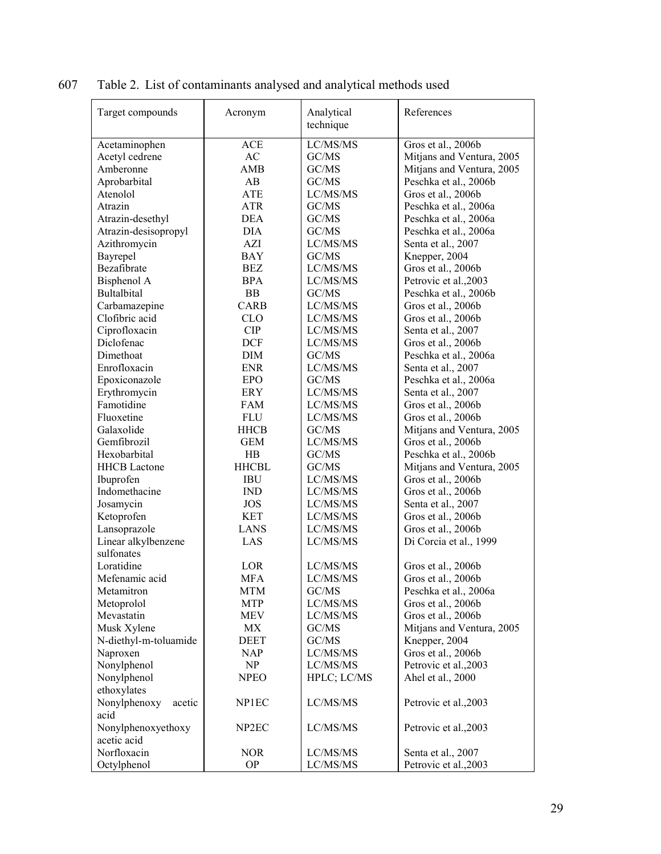| Target compounds       | Acronym            | Analytical<br>technique | References                |  |
|------------------------|--------------------|-------------------------|---------------------------|--|
| Acetaminophen          | <b>ACE</b>         | LC/MS/MS                | Gros et al., 2006b        |  |
| Acetyl cedrene         | <b>AC</b>          | GC/MS                   | Mitjans and Ventura, 2005 |  |
| Amberonne              | AMB                | GC/MS                   | Mitjans and Ventura, 2005 |  |
| Aprobarbital           | AB                 | GC/MS                   | Peschka et al., 2006b     |  |
| Atenolol               | ATE                | LC/MS/MS                | Gros et al., 2006b        |  |
| Atrazin                | <b>ATR</b>         | GC/MS                   | Peschka et al., 2006a     |  |
| Atrazin-desethyl       | <b>DEA</b>         | GC/MS                   | Peschka et al., 2006a     |  |
| Atrazin-desisopropyl   | DIA.               | GC/MS                   | Peschka et al., 2006a     |  |
| Azithromycin           | AZI                | LC/MS/MS                | Senta et al., 2007        |  |
| Bayrepel               | <b>BAY</b>         | GC/MS                   | Knepper, 2004             |  |
| Bezafibrate            | <b>BEZ</b>         | LC/MS/MS                | Gros et al., 2006b        |  |
| Bisphenol A            | <b>BPA</b>         | LC/MS/MS                | Petrovic et al., 2003     |  |
| <b>Bultalbital</b>     | <b>BB</b>          | GC/MS                   | Peschka et al., 2006b     |  |
| Carbamazepine          | <b>CARB</b>        | LC/MS/MS                | Gros et al., 2006b        |  |
| Clofibric acid         | <b>CLO</b>         | LC/MS/MS                | Gros et al., 2006b        |  |
| Ciprofloxacin          | <b>CIP</b>         | LC/MS/MS                | Senta et al., 2007        |  |
| Diclofenac             | <b>DCF</b>         | LC/MS/MS                | Gros et al., 2006b        |  |
| Dimethoat              | <b>DIM</b>         | GC/MS                   | Peschka et al., 2006a     |  |
| Enrofloxacin           | <b>ENR</b>         | LC/MS/MS                | Senta et al., 2007        |  |
| Epoxiconazole          | <b>EPO</b>         | GC/MS                   | Peschka et al., 2006a     |  |
| Erythromycin           | ERY                | LC/MS/MS                | Senta et al., 2007        |  |
| Famotidine             | FAM                | LC/MS/MS                | Gros et al., 2006b        |  |
| Fluoxetine             | <b>FLU</b>         | LC/MS/MS                | Gros et al., 2006b        |  |
| Galaxolide             | <b>HHCB</b>        | GC/MS                   | Mitjans and Ventura, 2005 |  |
| Gemfibrozil            | <b>GEM</b>         | LC/MS/MS                | Gros et al., 2006b        |  |
| Hexobarbital           | HB                 | GC/MS                   | Peschka et al., 2006b     |  |
| <b>HHCB</b> Lactone    | <b>HHCBL</b>       | GC/MS                   | Mitjans and Ventura, 2005 |  |
| Ibuprofen              | <b>IBU</b>         | LC/MS/MS                | Gros et al., 2006b        |  |
| Indomethacine          | <b>IND</b>         | LC/MS/MS                | Gros et al., 2006b        |  |
| Josamycin              | <b>JOS</b>         | LC/MS/MS                | Senta et al., 2007        |  |
| Ketoprofen             | <b>KET</b>         | LC/MS/MS                | Gros et al., 2006b        |  |
| Lansoprazole           | <b>LANS</b>        | LC/MS/MS                | Gros et al., 2006b        |  |
| Linear alkylbenzene    | LAS                | LC/MS/MS                | Di Corcia et al., 1999    |  |
| sulfonates             |                    |                         |                           |  |
| Loratidine             | LOR                | LC/MS/MS                | Gros et al., 2006b        |  |
| Mefenamic acid         | <b>MFA</b>         | LC/MS/MS                | Gros et al., 2006b        |  |
| Metamitron             | MTM                | GC/MS                   | Peschka et al., 2006a     |  |
| Metoprolol             | <b>MTP</b>         | LC/MS/MS                | Gros et al., 2006b        |  |
| Mevastatin             | <b>MEV</b>         | LC/MS/MS                | Gros et al., 2006b        |  |
| Musk Xylene            | MX                 | GC/MS                   | Mitjans and Ventura, 2005 |  |
| N-diethyl-m-toluamide  | <b>DEET</b>        | GC/MS                   | Knepper, 2004             |  |
| Naproxen               | <b>NAP</b>         | LC/MS/MS                | Gros et al., 2006b        |  |
| Nonylphenol            | NP                 | LC/MS/MS                | Petrovic et al., 2003     |  |
| Nonylphenol            | <b>NPEO</b>        | HPLC; LC/MS             | Ahel et al., 2000         |  |
| ethoxylates            |                    |                         |                           |  |
| Nonylphenoxy<br>acetic | NP1EC              | LC/MS/MS                | Petrovic et al., 2003     |  |
| acid                   |                    |                         |                           |  |
| Nonylphenoxyethoxy     | NP <sub>2</sub> EC | LC/MS/MS                | Petrovic et al., 2003     |  |
| acetic acid            |                    |                         |                           |  |
| Norfloxacin            | <b>NOR</b>         | LC/MS/MS                | Senta et al., 2007        |  |
| Octylphenol            | <b>OP</b>          | LC/MS/MS                | Petrovic et al., 2003     |  |

607 Table 2. List of contaminants analysed and analytical methods used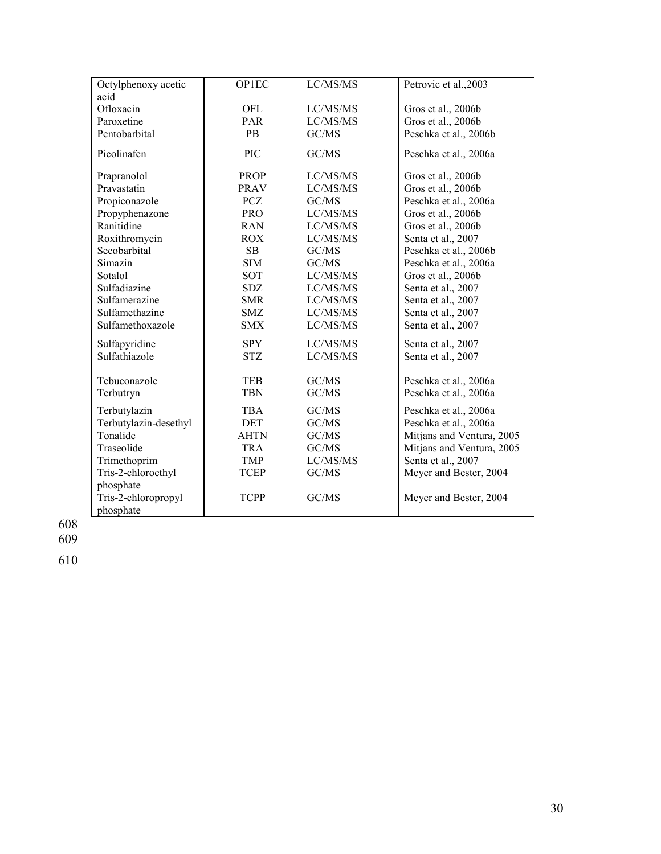| Octylphenoxy acetic   | <b>OP1EC</b>             | LC/MS/MS       | Petrovic et al., 2003     |
|-----------------------|--------------------------|----------------|---------------------------|
| acid                  |                          |                |                           |
| Ofloxacin             | <b>OFL</b>               | LC/MS/MS       | Gros et al., 2006b        |
| Paroxetine            | PAR                      | LC/MS/MS       | Gros et al., 2006b        |
| Pentobarbital         | <b>PB</b>                | GC/MS          | Peschka et al., 2006b     |
| Picolinafen           | <b>PIC</b>               | GC/MS          | Peschka et al., 2006a     |
| Prapranolol           | <b>PROP</b>              | LC/MS/MS       | Gros et al., 2006b        |
| Pravastatin           | <b>PRAV</b>              | LC/MS/MS       | Gros et al., 2006b        |
| Propiconazole         | <b>PCZ</b>               | GC/MS          | Peschka et al., 2006a     |
| Propyphenazone        | <b>PRO</b>               | LC/MS/MS       | Gros et al., 2006b        |
| Ranitidine            | <b>RAN</b>               | LC/MS/MS       | Gros et al., 2006b        |
| Roxithromycin         | <b>ROX</b>               | LC/MS/MS       | Senta et al., 2007        |
| Secobarbital          | SB                       | GC/MS          | Peschka et al., 2006b     |
| Simazin               | <b>SIM</b>               | GC/MS          | Peschka et al., 2006a     |
| Sotalol               | SOT                      | LC/MS/MS       | Gros et al., 2006b        |
| Sulfadiazine          | <b>SDZ</b>               | LC/MS/MS       | Senta et al., 2007        |
| Sulfamerazine         | <b>SMR</b>               | LC/MS/MS       | Senta et al., 2007        |
| Sulfamethazine        | SMZ                      | LC/MS/MS       | Senta et al., 2007        |
| Sulfamethoxazole      | <b>SMX</b>               | LC/MS/MS       | Senta et al., 2007        |
| Sulfapyridine         | <b>SPY</b>               | LC/MS/MS       | Senta et al., 2007        |
| Sulfathiazole         | <b>STZ</b>               | LC/MS/MS       | Senta et al., 2007        |
|                       |                          |                |                           |
| Tebuconazole          | <b>TEB</b><br><b>TBN</b> | GC/MS<br>GC/MS | Peschka et al., 2006a     |
| Terbutryn             |                          |                | Peschka et al., 2006a     |
| Terbutylazin          | TBA                      | GC/MS          | Peschka et al., 2006a     |
| Terbutylazin-desethyl | DET                      | GC/MS          | Peschka et al., 2006a     |
| Tonalide              | <b>AHTN</b>              | GC/MS          | Mitjans and Ventura, 2005 |
| Traseolide            | <b>TRA</b>               | GC/MS          | Mitjans and Ventura, 2005 |
| Trimethoprim          | <b>TMP</b>               | LC/MS/MS       | Senta et al., 2007        |
| Tris-2-chloroethyl    | <b>TCEP</b>              | GC/MS          | Meyer and Bester, 2004    |
| phosphate             |                          |                |                           |
| Tris-2-chloropropyl   | <b>TCPP</b>              | GC/MS          | Meyer and Bester, 2004    |
| phosphate             |                          |                |                           |

608

609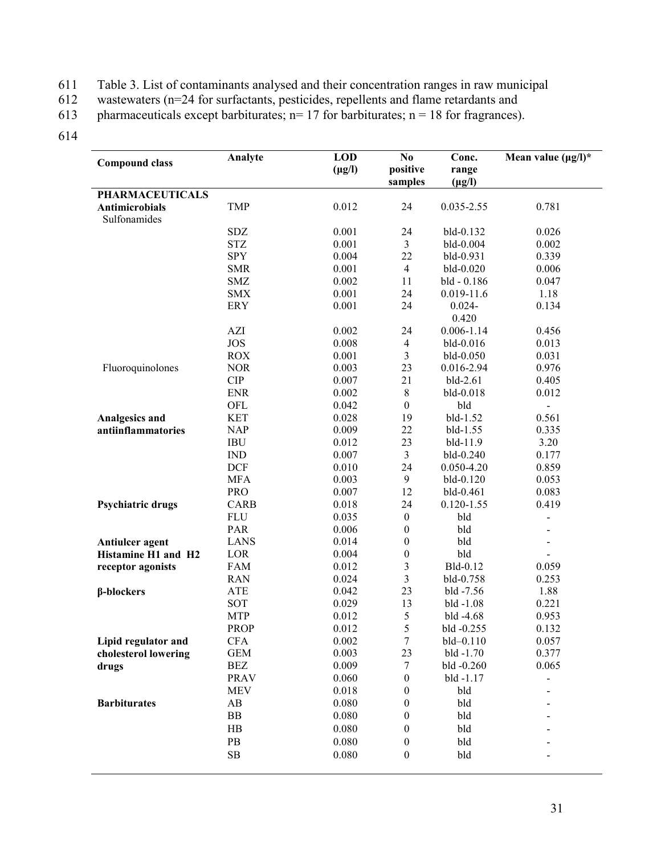611 Table 3. List of contaminants analysed and their concentration ranges in raw municipal was tewaters ( $n=24$  for surfactants, pesticides, repellents and flame retardants and

612 wastewaters (n=24 for surfactants, pesticides, repellents and flame retardants and pharmaceuticals except barbiturates;  $n = 17$  for barbiturates;  $n = 18$  for fragrances).

pharmaceuticals except barbiturates;  $n= 17$  for barbiturates;  $n = 18$  for fragrances).

| <b>Compound class</b>                 | Analyte              | <b>LOD</b><br>$(\mu g/l)$ | N <sub>0</sub><br>positive<br>samples | Conc.<br>range<br>$(\mu g/l)$ | Mean value $(\mu g/l)^*$ |
|---------------------------------------|----------------------|---------------------------|---------------------------------------|-------------------------------|--------------------------|
| <b>PHARMACEUTICALS</b>                |                      |                           |                                       |                               |                          |
| <b>Antimicrobials</b><br>Sulfonamides | <b>TMP</b>           | 0.012                     | 24                                    | 0.035-2.55                    | 0.781                    |
|                                       | SDZ                  | 0.001                     | 24                                    | bld-0.132                     | 0.026                    |
|                                       | $\operatorname{STZ}$ | 0.001                     | $\mathfrak{Z}$                        | bld-0.004                     | 0.002                    |
|                                       | <b>SPY</b>           | 0.004                     | 22                                    | bld-0.931                     | 0.339                    |
|                                       | <b>SMR</b>           | 0.001                     | $\overline{4}$                        | bld-0.020                     | 0.006                    |
|                                       | <b>SMZ</b>           | 0.002                     | 11                                    | bld - 0.186                   | 0.047                    |
|                                       | <b>SMX</b>           | 0.001                     | 24                                    | $0.019 - 11.6$                | 1.18                     |
|                                       | <b>ERY</b>           | 0.001                     | 24                                    | $0.024 -$<br>0.420            | 0.134                    |
|                                       | AZI                  | 0.002                     | 24                                    | $0.006 - 1.14$                | 0.456                    |
|                                       | <b>JOS</b>           | 0.008                     | $\overline{4}$                        | bld-0.016                     | 0.013                    |
|                                       | <b>ROX</b>           | 0.001                     | 3                                     | bld-0.050                     | 0.031                    |
| Fluoroquinolones                      | <b>NOR</b>           | 0.003                     | 23                                    | 0.016-2.94                    | 0.976                    |
|                                       | CIP                  | 0.007                     | 21                                    | bld-2.61                      | 0.405                    |
|                                       | <b>ENR</b>           | 0.002                     | $\,$ 8 $\,$                           | bld-0.018                     | 0.012                    |
|                                       | OFL                  | 0.042                     | $\boldsymbol{0}$                      | bld                           |                          |
| Analgesics and                        | <b>KET</b>           | 0.028                     | 19                                    | bld-1.52                      | 0.561                    |
| antiinflammatories                    | <b>NAP</b>           | 0.009                     | 22                                    | bld-1.55                      | 0.335                    |
|                                       | <b>IBU</b>           | 0.012                     | 23                                    | bld-11.9                      | 3.20                     |
|                                       | IND                  | 0.007                     | 3                                     | bld-0.240                     | 0.177                    |
|                                       | <b>DCF</b>           | 0.010                     | 24                                    | 0.050-4.20                    | 0.859                    |
|                                       | <b>MFA</b>           | 0.003                     | 9                                     | bld-0.120                     | 0.053                    |
|                                       | <b>PRO</b>           | 0.007                     | 12                                    | bld-0.461                     | 0.083                    |
| Psychiatric drugs                     | <b>CARB</b>          | 0.018                     | 24                                    | $0.120 - 1.55$                | 0.419                    |
|                                       | <b>FLU</b>           | 0.035                     | $\boldsymbol{0}$                      | bld                           | -                        |
|                                       | <b>PAR</b>           | 0.006                     | $\boldsymbol{0}$                      | bld                           |                          |
| Antiulcer agent                       | <b>LANS</b>          | 0.014                     | $\boldsymbol{0}$                      | bld                           |                          |
| Histamine H1 and H2                   | LOR                  | 0.004                     | $\boldsymbol{0}$                      | bld                           |                          |
|                                       | <b>FAM</b>           | 0.012                     | $\mathfrak 3$                         | Bld-0.12                      | 0.059                    |
| receptor agonists                     | <b>RAN</b>           | 0.024                     | $\mathfrak{Z}$                        | bld-0.758                     | 0.253                    |
|                                       | <b>ATE</b>           | 0.042                     | 23                                    | bld -7.56                     | 1.88                     |
| $\beta$ -blockers                     | SOT                  | 0.029                     |                                       | bld -1.08                     | 0.221                    |
|                                       | <b>MTP</b>           | 0.012                     | 13                                    |                               | 0.953                    |
|                                       |                      |                           | 5                                     | bld -4.68                     |                          |
|                                       | <b>PROP</b>          | 0.012                     | 5                                     | bld -0.255                    | 0.132                    |
| Lipid regulator and                   | <b>CFA</b>           | 0.002                     | $\tau$                                | $bld - 0.110$                 | 0.057                    |
| cholesterol lowering                  | <b>GEM</b>           | 0.003                     | 23                                    | bld -1.70                     | 0.377                    |
| drugs                                 | BEZ                  | 0.009                     | 7                                     | $bld -0.260$                  | 0.065                    |
|                                       | <b>PRAV</b>          | 0.060                     | $\boldsymbol{0}$                      | $bld -1.17$                   |                          |
|                                       | <b>MEV</b>           | 0.018                     | $\boldsymbol{0}$                      | bld                           |                          |
| <b>Barbiturates</b>                   | AB                   | 0.080                     | $\boldsymbol{0}$                      | bld                           |                          |
|                                       | BB                   | 0.080                     | $\boldsymbol{0}$                      | bld                           |                          |
|                                       | HB                   | 0.080                     | $\boldsymbol{0}$                      | bld                           |                          |
|                                       | $\rm{PB}$            | 0.080                     | $\boldsymbol{0}$                      | bld                           |                          |
|                                       | ${\bf SB}$           | 0.080                     | $\boldsymbol{0}$                      | bld                           |                          |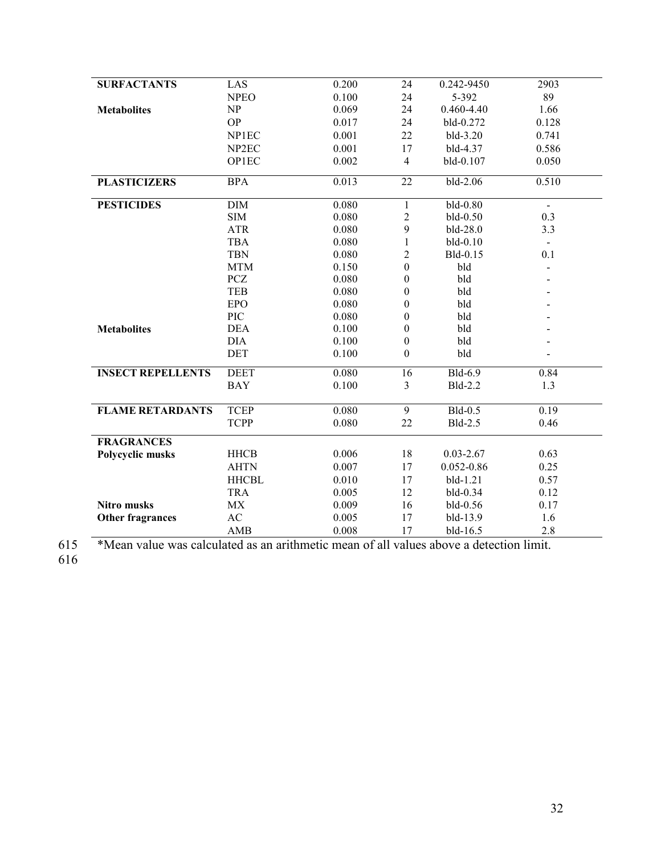| <b>SURFACTANTS</b>       | LAS               | 0.200 | 24               | 0.242-9450     | 2903  |
|--------------------------|-------------------|-------|------------------|----------------|-------|
|                          | <b>NPEO</b>       | 0.100 | 24               | 5-392          | 89    |
| <b>Metabolites</b>       | NP                | 0.069 | 24               | 0.460-4.40     | 1.66  |
|                          | <b>OP</b>         | 0.017 | 24               | bld-0.272      | 0.128 |
|                          | NP1EC             | 0.001 | 22               | bld-3.20       | 0.741 |
|                          | NP <sub>2EC</sub> | 0.001 | 17               | bld-4.37       | 0.586 |
|                          | OP1EC             | 0.002 | $\overline{4}$   | bld-0.107      | 0.050 |
| <b>PLASTICIZERS</b>      | <b>BPA</b>        | 0.013 | 22               | bld-2.06       | 0.510 |
| <b>PESTICIDES</b>        | <b>DIM</b>        | 0.080 | $\mathbf{1}$     | bld-0.80       |       |
|                          | <b>SIM</b>        | 0.080 | $\sqrt{2}$       | bld-0.50       | 0.3   |
|                          | <b>ATR</b>        | 0.080 | 9                | bld-28.0       | 3.3   |
|                          | <b>TBA</b>        | 0.080 | $\mathbf{1}$     | bld-0.10       |       |
|                          | <b>TBN</b>        | 0.080 | $\overline{c}$   | Bld-0.15       | 0.1   |
|                          | <b>MTM</b>        | 0.150 | $\boldsymbol{0}$ | bld            |       |
|                          | <b>PCZ</b>        | 0.080 | $\boldsymbol{0}$ | bld            |       |
|                          | <b>TEB</b>        | 0.080 | $\boldsymbol{0}$ | bld            |       |
|                          | <b>EPO</b>        | 0.080 | $\boldsymbol{0}$ | bld            |       |
|                          | PIC               | 0.080 | $\boldsymbol{0}$ | bld            |       |
| <b>Metabolites</b>       | <b>DEA</b>        | 0.100 | $\boldsymbol{0}$ | bld            |       |
|                          | <b>DIA</b>        | 0.100 | $\boldsymbol{0}$ | bld            |       |
|                          | <b>DET</b>        | 0.100 | $\boldsymbol{0}$ | bld            |       |
| <b>INSECT REPELLENTS</b> | <b>DEET</b>       | 0.080 | 16               | Bld-6.9        | 0.84  |
|                          | <b>BAY</b>        | 0.100 | 3                | Bld-2.2        | 1.3   |
| <b>FLAME RETARDANTS</b>  | <b>TCEP</b>       | 0.080 | 9                | Bld-0.5        | 0.19  |
|                          | <b>TCPP</b>       | 0.080 | 22               | Bld-2.5        | 0.46  |
| <b>FRAGRANCES</b>        |                   |       |                  |                |       |
| Polycyclic musks         | <b>HHCB</b>       | 0.006 | 18               | $0.03 - 2.67$  | 0.63  |
|                          | <b>AHTN</b>       | 0.007 | 17               | $0.052 - 0.86$ | 0.25  |
|                          | <b>HHCBL</b>      | 0.010 | 17               | bld-1.21       | 0.57  |
|                          | <b>TRA</b>        | 0.005 | 12               | bld-0.34       | 0.12  |
| <b>Nitro musks</b>       | MX                | 0.009 | 16               | bld-0.56       | 0.17  |
| Other fragrances         | AC                | 0.005 | 17               | bld-13.9       | 1.6   |
|                          | <b>AMB</b>        | 0.008 | 17               | bld-16.5       | 2.8   |

\*Mean value was calculated as an arithmetic mean of all values above a detection limit.  $615$ <br> $616$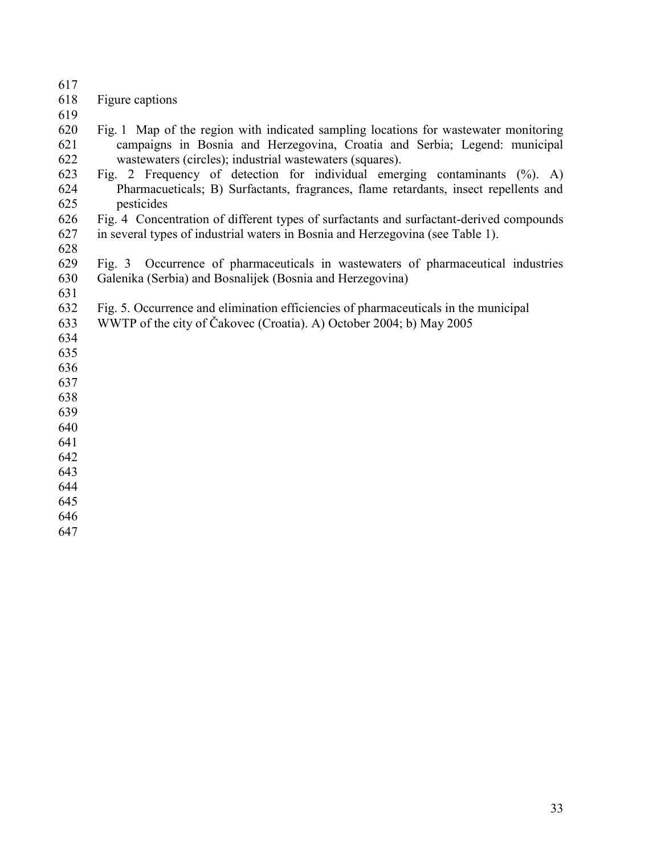- 
- Figure captions
- 
- Fig. 1 Map of the region with indicated sampling locations for wastewater monitoring campaigns in Bosnia and Herzegovina, Croatia and Serbia; Legend: municipal wastewaters (circles); industrial wastewaters (squares).
- Fig. 2 Frequency of detection for individual emerging contaminants (%). A) Pharmacueticals; B) Surfactants, fragrances, flame retardants, insect repellents and pesticides
- 626 Fig. 4 Concentration of different types of surfactants and surfactant-derived compounds<br>627 in several types of industrial waters in Bosnia and Herzegovina (see Table 1). in several types of industrial waters in Bosnia and Herzegovina (see Table 1).
- 
- Fig. 3 Occurrence of pharmaceuticals in wastewaters of pharmaceutical industries Galenika (Serbia) and Bosnalijek (Bosnia and Herzegovina)
- 
- Fig. 5. Occurrence and elimination efficiencies of pharmaceuticals in the municipal
- WWTP of the city of Čakovec (Croatia). A) October 2004; b) May 2005
- 
- 
- 
- 
- 
- 
- 
- 
- 
- 
- 
- 
-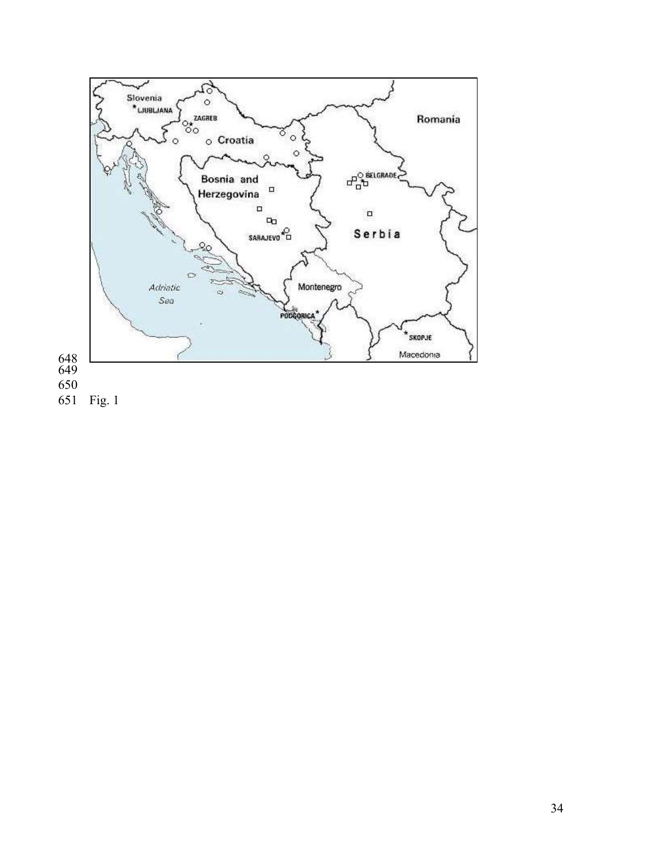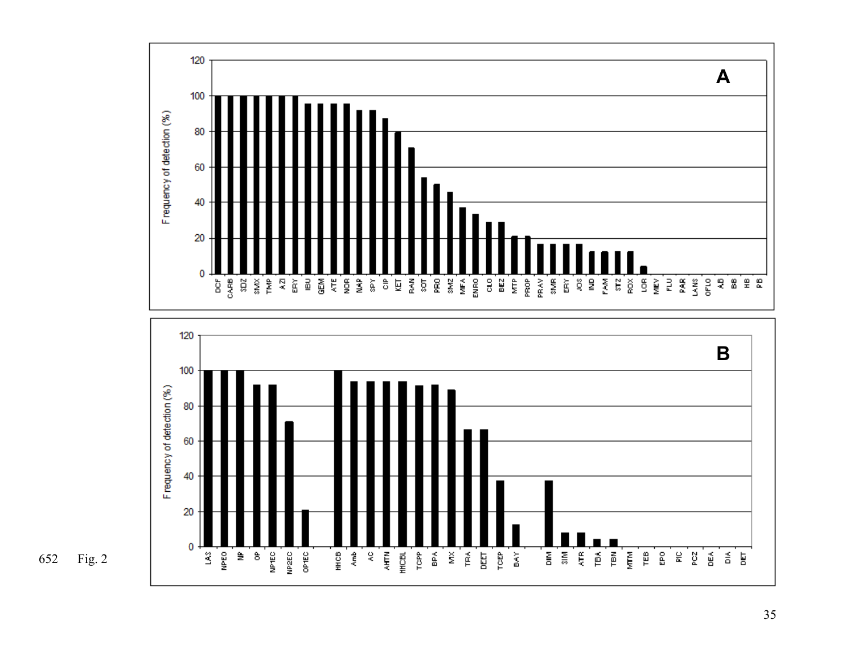



652 Fig. 2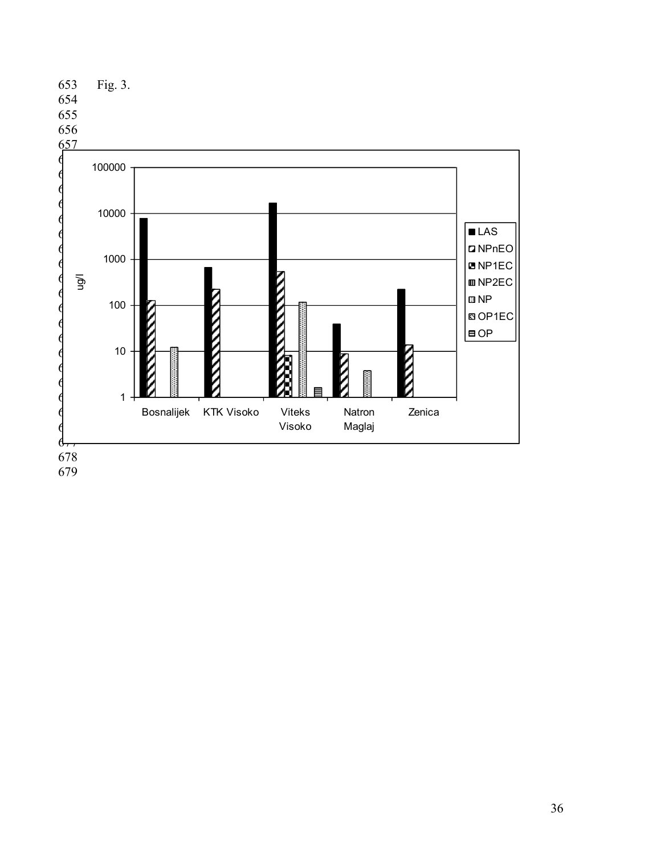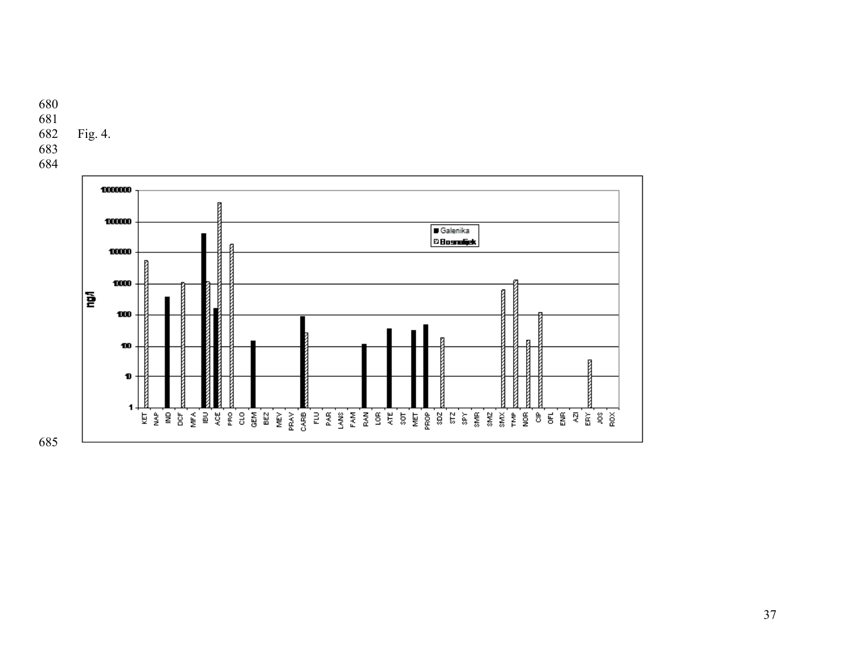